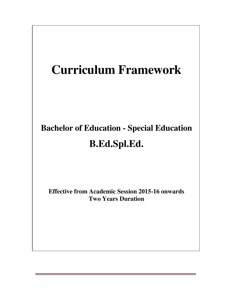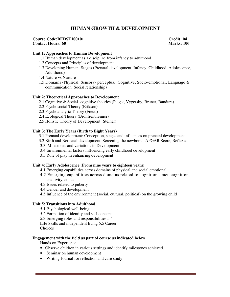# **HUMAN GROWTH & DEVELOPMENT**

#### **Course Code:BEDSE100101** Credit: 04<br> **Contact Hours: 60** Marks: 100 **Contact Hours: 60**

#### **Unit 1: Approaches to Human Development**

- 1.1 Human development as a discipline from infancy to adulthood
- 1.2 Concepts and Principles of development
- 1.3 Developing Human- Stages (Prenatal development, Infancy, Childhood, Adolescence, Adulthood)
- 1.4 Nature vs Nurture
- 1.5 Domains (Physical, Sensory- perceptual, Cognitive, Socio-emotional, Language & communication, Social relationship)

#### **Unit 2: Theoretical Approaches to Development**

- 2.1 Cognitive & Social- cognitive theories (Piaget, Vygotsky, Bruner, Bandura)
- 2.2 Psychosocial Theory (Erikson)
- 2.3 Psychoanalytic Theory (Freud)
- 2.4 Ecological Theory (Bronfrenbrenner)
- 2.5 Holistic Theory of Development (Steiner)

#### **Unit 3: The Early Years (Birth to Eight Years)**

- 3.1 Prenatal development: Conception, stages and influences on prenatal development
- 3.2 Birth and Neonatal development: Screening the newborn APGAR Score, Reflexes
- 3.3. Milestones and variations in Development
- 3.4 Environmental factors influencing early childhood development
- 3.5 Role of play in enhancing development

#### **Unit 4: Early Adolescence (From nine years to eighteen years)**

- 4.1 Emerging capabilities across domains of physical and social emotional
- 4.2 Emerging capabilities across domains related to cognition metacognition, creativity, ethics
- 4.3 Issues related to puberty
- 4.4 Gender and development
- 4.5 Influence of the environment (social, cultural, political) on the growing child

#### **Unit 5: Transitions into Adulthood**

- 5.1 Psychological well-being
- 5.2 Formation of identity and self-concept
- 5.3 Emerging roles and responsibilities 5.4
- Life Skills and independent living 5.5 Career
- Choices

#### **Engagement with the field as part of course as indicated below**

Hands on Experience

- Observe children in various settings and identify milestones achieved.
- Seminar on human development
- Writing Journal for reflection and case study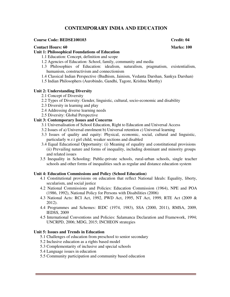# **CONTEMPORARY INDIA AND EDUCATION**

#### **Course Code: BEDSE100103 Credit: 04**

#### **Contact Hours: 60** Marks: 100

### **Unit 1: Philosophical Foundations of Education**

- 1.1 Education: Concept, definition and scope
- 1.2 Agencies of Education: School, family, community and media
- 1.3 Philosophies of Education: idealism, naturalism, pragmatism, existentialism, humanism, constructivism and connectionism
- 1.4 Classical Indian Perspective (Budhism, Jainism, Vedanta Darshan, Sankya Darshan)
- 1.5 Indian Philosophers (Aurobindo, Gandhi, Tagore, Krishna Murthy)

#### **Unit 2: Understanding Diversity**

- 2.1 Concept of Diversity
- 2.2 Types of Diversity: Gender, linguistic, cultural, socio-economic and disability
- 2.3 Diversity in learning and play
- 2.4 Addressing diverse learning needs
- 2.5 Diversity: Global Perspective

# **Unit 3: Contemporary Issues and Concerns**

- 3.1 Universalisation of School Education, Right to Education and Universal Access
- 3.2 Issues of a) Universal enrolment b) Universal retention c) Universal learning
- 3.3 Issues of quality and equity: Physical, economic, social, cultural and linguistic, particularly w.r.t girl child, weaker sections and disabled
- 3.4 Equal Educational Opportunity: (i) Meaning of equality and constitutional provisions (ii) Prevailing nature and forms of inequality, including dominant and minority groups and related issues
- 3.5 Inequality in Schooling: Public-private schools, rural-urban schools, single teacher schools and other forms of inequalities such as regular and distance education system

#### **Unit 4: Education Commissions and Policy (School Education)**

- 4.1 Constitutional provisions on education that reflect National Ideals: Equality, liberty, secularism, and social justice
- 4.2 National Commissions and Policies: Education Commission (1964), NPE and POA (1986, 1992), National Policy for Persons with Disabilities (2006)
- 4.3 National Acts: RCI Act, 1992, PWD Act, 1995, NT Act, 1999, RTE Act (2009 & 2012).
- 4.4 Programmes and Schemes: IEDC (1974, 1983), SSA (2000, 2011), RMSA, 2009, IEDSS, 2009
- 4.5 International Conventions and Policies: Salamanca Declaration and Framework, 1994; UNCRPD, 2006; MDG, 2015; INCHEON strategies

## **Unit 5: Issues and Trends in Education**

- 5.1 Challenges of education from preschool to senior secondary
- 5.2 Inclusive education as a rights based model
- 5.3 Complementarity of inclusive and special schools
- 5.4 Language issues in education
- 5.5 Community participation and community based education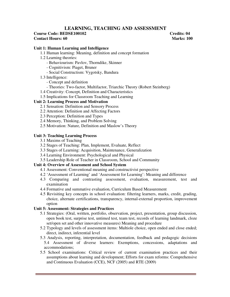# **LEARNING, TEACHING AND ASSESSMENT**

### **Course Code: BEDSE100102 Credits: 04 Contact Hours: 60** Marks: 100

## **Unit 1: Human Learning and Intelligence**

- 1.1 Human learning: Meaning, definition and concept formation
- 1.2 Learning theories:
	- Behaviourism: Pavlov, Thorndike, Skinner
	- Cognitivism: Piaget, Bruner
	- Social Constructism: Vygotsky, Bandura
- 1.3 Intelligence:
	- Concept and definition
	- Theories: Two-factor, Multifactor, Triarchic Theory (Robert Steinberg)
- 1.4 Creativity: Concept, Definition and Characteristics
- 1.5 Implications for Classroom Teaching and Learning

# **Unit 2: Learning Process and Motivation**

- 2.1 Sensation: Definition and Sensory Process
- 2.2 Attention: Definition and Affecting Factors
- 2.3 Perception: Definition and Types
- 2.4 Memory, Thinking, and Problem Solving
- 2.5 Motivation: Nature, Definition and Maslow's Theory

## **Unit 3: Teaching Learning Process**

- 3.1 Maxims of Teaching
- 3.2 Stages of Teaching: Plan, Implement, Evaluate, Reflect
- 3.3 Stages of Learning: Acquisition, Maintenance, Generalization
- 3.4 Learning Environment: Psychological and Physical
- 3.5 Leadership Role of Teacher in Classroom, School and Community

# **Unit 4: Overview of Assessment and School System**

- 4.1 Assessment: Conventional meaning and constructivist perspective
- 4.2 'Assessment of Learning' and 'Assessment for Learning': Meaning and difference
- 4.3 Comparing and contrasting assessment, evaluation, measurement, test and examination
- 4.4 Formative and summative evaluation, Curriculum Based Measurement
- 4.5 Revisiting key concepts in school evaluation: filtering learners, marks, credit, grading, choice, alternate certifications, transparency, internal-external proportion, improvement option

#### **Unit 5: Assessment: Strategies and Practices**

- 5.1 Strategies: (Oral, written, portfolio, observation, project, presentation, group discussion, open book test, surprise test, untimed test, team test, records of learning landmark, cloze set/open set and other innovative measures) Meaning and procedure
- 5.2 Typology and levels of assessment items: Multiole choice, open ended and close ended; direct, indirect, inferential level
- 5.3 Analysis, reporting, interpretation, documentation, feedback and pedagogic decisions 5.4 Assessment of diverse learners: Exemptions, concessions, adaptations and accommodations;
- 5.5 School examinations: Critical review of current examination practices and their assumptions about learning and development; Efforts for exam reforms: Comprehensive and Continuous Evaluation (CCE), NCF (2005) and RTE (2009)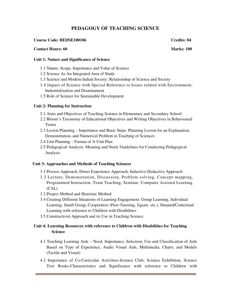# **PEDAGOGY OF TEACHING SCIENCE**

## **Course Code: BEDSE100106 Credits: 04**

#### **Contact Hours: 60** Marks: 100

#### **Unit 1: Nature and Significance of Science**

- 1.1 Nature, Scope, Importance and Value of Science
- 1.2 Science As An Integrated Area of Study
- 1.3 Science and Modern Indian Society: Relationship of Science and Society
- 1.4 Impact of Science with Special Reference to Issues related with Environment, Industrialization and Disarmament
- 1.5 Role of Science for Sustainable Development

# **Unit 2: Planning for Instruction**

- 2.1 Aims and Objectives of Teaching Science in Elementary and Secondary School
- 2.2 Bloom's Taxonomy of Educational Objectives and Writing Objectives in Behavioural Terms
- 2.3 Lesson Planning Importance and Basic Steps. Planning Lesson for an Explanation, Demonstration, and Numerical Problem in Teaching of Sciences
- 2.4 Unit Planning Format of A Unit Plan
- 2.5 Pedagogical Analysis: Meaning and Need. Guidelines for Conducting Pedagogical Analysis

#### **Unit 3: Approaches and Methods of Teaching Sciences**

- 3.1 Process Approach, Direct Experience Approach, Inductive-Deductive Approach
- 3.2 Lecture, Demonstration, Discussion, Problem-solving, Concept-mapping, Programmed Instruction, Team Teaching, Seminar, Computer Assisted Learning (CAL)
- 3.3 Project Method and Heuristic Method
- 3.4 Creating Different Situations of Learning Engagement: Group Learning, Individual Learning, Small Group, Cooperative (Peer-Tutoring, Jigsaw, etc.), Situated/Contextual Learning with reference to Children with Disabilities
- 3.5 Constructivist Approach and its Use in Teaching Science

# **Unit 4: Learning Resources with reference to Children with Disabilities for Teaching Science**

- 4.1 Teaching Learning Aids Need, Importance, Selection, Use and Classification of Aids Based on Type of Experience, Audio Visual Aids, Multimedia, Charts, and Models (Tactile and Visual)
- 4.2 Importance of Co-Curricular Activities-Science Club, Science Exhibition, Science Text Books-Characteristics and Significance with reference to Children with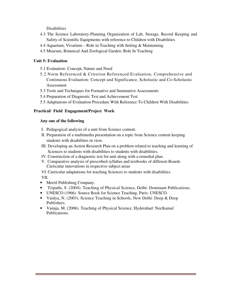**Disabilities** 

- 4.3 The Science Laboratory-Planning Organization of Lab, Storage, Record Keeping and Safety of Scientific Equipments with reference to Children with Disabilities
- 4.4 Aquarium, Vivarium Role in Teaching with Setting & Maintaining
- 4.5 Museum, Botanical And Zoological Garden: Role In Teaching

# **Unit 5: Evaluation**

- 5.1 Evaluation- Concept, Nature and Need
- 5.2 Norm Referenced & Criterion Referenced Evaluation, Comprehensive and Continuous Evaluation: Concept and Significance, Scholastic and Co-Scholastic Assessment
- 5.3 Tools and Techniques for Formative and Summative Assessments
- 5.4 Preparation of Diagnostic Test and Achievement Test
- 5.5 Adaptations of Evaluation Procedure With Reference To Children With Disabilities

# **Practical/ Field Engagement/Project Work**

# **Any one of the following**

- I. Pedagogical analysis of a unit from Science content.
- II. Preparation of a multimedia presentation on a topic from Science content keeping students with disabilities in view.
- III. Developing an Action Research Plan on a problem related to teaching and learning of Sciences to students with disabilities to students with disabilities.
- IV. Construction of a diagnostic test for unit along with a remedial plan.
- V. Comparative analysis of prescribed syllabus and textbooks of different Boards Curricular innovations in respective subject areas
- VI. Curricular adaptations for teaching Sciences to students with disabilities.

VII.

- Merril Publishing Company.
- Tripathi, S. (2004). Teaching of Physical Science, Delhi: Dominant Publications.
- UNESCO (1966). Source Book for Science Teaching, Paris: UNESCO.
- Vaidya, N. (2003). Science Teaching in Schools, New Delhi: Deep & Deep Publishers.
- Vanaja, M. (2006). Teaching of Physical Science, Hyderabad: Neelkamal Publications.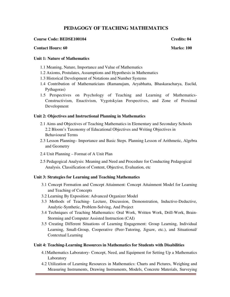# **PEDAGOGY OF TEACHING MATHEMATICS**

## **Course Code: BEDSE100104 Credits: 04 Credits: 04**

#### **Contact Hours: 60** Marks: 100

### **Unit 1: Nature of Mathematics**

- 1.1 Meaning, Nature, Importance and Value of Mathematics
- 1.2 Axioms, Postulates, Assumptions and Hypothesis in Mathematics
- 1.3 Historical Development of Notations and Number Systems
- 1.4 Contribution of Mathematicians (Ramanujam, Aryabhatta, Bhaskaracharya, Euclid, Pythagoras)
- 1.5 Perspectives on Psychology of Teaching and Learning of Mathematics-Constructivism, Enactivism, Vygotskyian Perspectives, and Zone of Proximal Development

## **Unit 2: Objectives and Instructional Planning in Mathematics**

- 2.1 Aims and Objectives of Teaching Mathematics in Elementary and Secondary Schools 2.2 Bloom's Taxonomy of Educational Objectives and Writing Objectives in Behavioural Terms
- 2.3 Lesson Planning– Importance and Basic Steps. Planning Lesson of Arithmetic, Algebra and Geometry
- 2.4 Unit Planning Format of A Unit Plan
- 2.5 Pedagogical Analysis: Meaning and Need and Procedure for Conducting Pedagogical Analysis. Classification of Content, Objective, Evaluation, etc

# **Unit 3: Strategies for Learning and Teaching Mathematics**

- 3.1 Concept Formation and Concept Attainment: Concept Attainment Model for Learning and Teaching of Concepts
- 3.2 Learning By Exposition: Advanced Organizer Model
- 3.3 Methods of Teaching- Lecture, Discussion, Demonstration, Inductive-Deductive, Analytic-Synthetic, Problem-Solving, And Project
- 3.4 Techniques of Teaching Mathematics: Oral Work, Written Work, Drill-Work, Brain-Storming and Computer Assisted Instruction (CAI)
- 3.5 Creating Different Situations of Learning Engagement: Group Learning, Individual Learning, Small-Group, Cooperative (Peer-Tutoring, Jigsaw, etc.), and Situational/ Contextual Learning

#### **Unit 4: Teaching-Learning Resources in Mathematics for Students with Disabilities**

- 4.1Mathematics Laboratory- Concept, Need, and Equipment for Setting Up a Mathematics Laboratory
- 4.2 Utilization of Learning Resources in Mathematics: Charts and Pictures, Weighing and Measuring Instruments, Drawing Instruments, Models, Concrete Materials, Surveying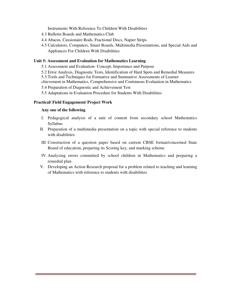Instruments With Reference To Children With Disabilities

- 4.3 Bulletin Boards and Mathematics Club
- 4.4 Abacus, Cussionaire Rods, Fractional Discs, Napier Strips
- 4.5 Calculators, Computers, Smart Boards, Multimedia Presentations, and Special Aids and Appliances For Children With Disabilities

## **Unit 5: Assessment and Evaluation for Mathematics Learning**

- 5.1 Assessment and Evaluation- Concept, Importance and Purpose
- 5.2 Error Analysis, Diagnostic Tests, Identification of Hard Spots and Remedial Measures

5.3 Tools and Techniques for Formative and Summative Assessments of Learner

chievement in Mathematics, Comprehensive and Continuous Evaluation in Mathematics

5.4 Preparation of Diagnostic and Achievement Test

5.5 Adaptations in Evaluation Procedure for Students With Disabilities

#### **Practical/ Field Engagement/ Project Work**

### **Any one of the following**

- I. Pedagogical analysis of a unit of content from secondary school Mathematics Syllabus
- II. Preparation of a multimedia presentation on a topic with special reference to students with disabilities
- III. Construction of a question paper based on current CBSE format/concerned State Board of education, preparing its Scoring key, and marking scheme
- IV. Analyzing errors committed by school children in Mathematics and preparing a remedial plan
- V. Developing an Action Research proposal for a problem related to teaching and learning of Mathematics with reference to students with disabilities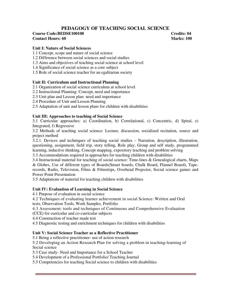# **PEDAGOGY OF TEACHING SOCIAL SCIENCE**

## **Course Code:BEDSE100108** Credits: 04 **Contact Hours: 60 Marks: 100**

# **Unit I: Nature of Social Sciences**

- 1.1 Concept, scope and nature of social science
- 1.2 Difference between social sciences and social studies
- 1.3 Aims and objectives of teaching social science at school level
- 1.4 Significance of social science as a core subject
- 1.5 Role of social science teacher for an egalitarian society

#### **Unit II: Curriculum and Instructional Planning**

- 2.1 Organization of social science curriculum at school level
- 2.2 Instructional Planning: Concept, need and importance
- 2.3 Unit plan and Lesson plan: need and importance
- 2.4 Procedure of Unit and Lesson Planning
- 2.5 Adaptation of unit and lesson plans for children with disabilities

#### **Unit III: Approaches to teaching of Social Science**

3.1 Curricular approaches: a) Coordination, b) Correlational, c) Concentric, d) Spiral, e) Integrated, f) Regressive

3.2 Methods of teaching social science: Lecture, discussion, socialized recitation, source and project method

3.2.1. Devices and techniques of teaching social studies – Narration, description, illustration, questioning, assignment, field trip, story telling, Role play, Group and self study, programmed learning, inductive thinking, Concept mapping, expository teaching and problem solving

3.3 Accommodations required in approaches for teaching children with disabilities

3.4 Instructional material for teaching of social science: Time-lines & Genealogical charts, Maps & Globes, Use of different types of Boards(Smart boards, Chalk Board, Flannel Board), Taperecords, Radio, Television, Films & Filmstrips, Overhead Projector, Social science games and Power Point Presentation

3.5 Adaptations of material for teaching children with disabilities

#### **Unit IV: Evaluation of Learning in Social Science**

4.1 Purpose of evaluation in social science

4.2 Techniques of evaluating learner achievement in social Science: Written and Oral tests, Observation Tools, Work Samples, Portfolio

4.3 Assessment: tools and techniques of Continuous and Comprehensive Evaluation (CCE) for curricular and co-curricular subjects

4.4 Construction of teacher made test

4.5 Diagnostic testing and enrichment techniques for children with disabilities

#### **Unit V: Social Science Teacher as a Reflective Practitioner**

5.1 Being a reflective practitioner- use of action research

5.2 Developing an Action Research Plan for solving a problem in teaching-learning of Social science

5.3 Case study- Need and Importance for a School Teacher

5.4 Development of a Professional Portfolio/ Teaching Journal

5.5 Competencies for teaching Social science to children with disabilities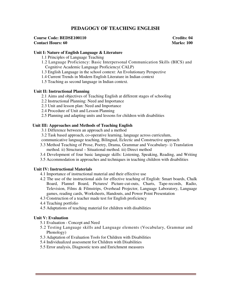# **PEDAGOGY OF TEACHING ENGLISH**

#### **Course Code: BEDSE100110 Credits: 04 Credits: 04 Contact Hours: 60** Marks: 100

#### **Unit I: Nature of English Language & Literature**

- 1.1 Principles of Language Teaching
- 1.2 Language Proficiency: Basic Interpersonal Communication Skills (BICS) and Cognitive Academic Language Proficiency( CALP)
- 1.3 English Language in the school context: An Evolutionary Perspective
- 1.4 Current Trends in Modern English Literature in Indian context
- 1.5 Teaching as second language in Indian context.

## **Unit II: Instructional Planning**

- 2.1 Aims and objectives of Teaching English at different stages of schooling
- 2.2 Instructional Planning: Need and Importance
- 2.3 Unit and lesson plan: Need and Importance
- 2.4 Procedure of Unit and Lesson Planning
- 2.5 Planning and adapting units and lessons for children with disabilities

## **Unit III: Approaches and Methods of Teaching English**

- 3.1 Difference between an approach and a method
- 3.2 Task based approach, co-operative learning, language across curriculum,
- communicative language teaching, Bilingual, Eclectic and Constructive approach
- 3.3 Method Teaching of Prose, Poetry, Drama, Grammar and Vocabulary- i) Translation method. ii) Structural – Situational method. iii) Direct method
- 3.4 Development of four basic language skills: Listening, Speaking, Reading, and Writing
- 3.5 Accommodation in approaches and techniques in teaching children with disabilities

# **Unit IV: Instructional Materials**

- 4.1 Importance of instructional material and their effective use
- 4.2 The use of the instructional aids for effective teaching of English: Smart boards, Chalk Board, Flannel Board, Pictures/ Picture-cut-outs, Charts, Tape-records, Radio, Television, Films & Filmstrips, Overhead Projector, Language Laboratory, Language games, reading cards, Worksheets, Handouts, and Power Point Presentation
- 4.3 Construction of a teacher made test for English proficiency
- 4.4 Teaching portfolio
- 4.5 Adaptations of teaching material for children with disabilities

#### **Unit V: Evaluation**

- 5.1 Evaluation Concept and Need
- 5.2 Testing Language skills and Language elements (Vocabulary, Grammar and Phonology)
- 5.3 Adaptation of Evaluation Tools for Children with Disabilities
- 5.4 Individualized assessment for Children with Disabilities
- 5.5 Error analysis, Diagnostic tests and Enrichment measures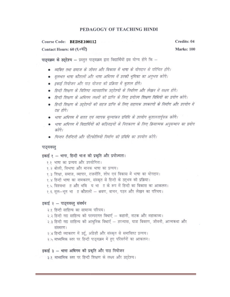# PEDAGOGY OF TEACHING HINDI

#### Course Code: **BEDSE100112**

Contact Hours: 60 (६०घंटे)

पाठ्यक्रम के उद्देश्य - प्रस्तुत पाठ्यक्रम द्वारा विद्यार्थियों इस योग्य होंगे कि -

- व्यक्ति तथा समाज के जीवन और विकास में भाषा के योगदान से परिचित होंगे।
- मुलभत भाषा कौशलों और भाषा अधिगम में उनकी भूमिका का अनुभव करेंगे।
- इकाई नियोजन और पाठ योजना की प्रक्रिया में कुशल होंगे।
- हिन्दी शिक्षण के विशिष्ट व्यावहारिक उदुदेश्यों के निर्धारण और लेखन में सक्षम होंगे।
- हिन्दी शिक्षण के अधिगम लक्ष्यों की प्राप्ति के लिए प्रयोज्य शिक्षण विधियों का प्रयोग करेंगे।
- हिन्दी शिक्षण के उद्देश्यों की सहज प्राप्ति के लिए सहायक उपकरणों के निर्माण और उपयोग में टक्ष होंगे।
- भाषा अधिगम में सतत एवं व्यापक मूल्यांकन प्रविधि के उपयोग कुशलतार्पूवक करेंगे।
- भाषा अधिगम में विद्यार्थियों की कठिनाइयों के निराकरण के लिए क्रियात्मक अनुसन्धान का प्रयोग करेंगे।
- चिन्तन टैनन्टिनी और पोंटफोलियो निर्माण की प्रविधि का उपयोग करेंगे।

#### पाठ्यवस्तु

# इकाई १ - भाषा, हिन्दी भाग की प्रकृति और प्रयोज्यता।

१.१ भाषा का प्रत्यय और उपयोगिता।

- १.२ बोली, विभाषा और मानक भाषा का प्रत्यय।
- १.३ शिक्षा, समाज, व्यापार, राजनीति, शोध एवं विकास में भाषा का योगदान।
- १.४ हिन्दी भाषा का नामकरण, संस्कृत से हिन्दी के उदभव की प्रक्रिया।
- १.५ विश्वभा ॥ और भवि य भा ॥ के रूप में हिन्दी का विकास का आकलन।
- १.६ मूल-भूत भा ॥ कौशलों श्रवण, वाचन, पठन और लेखन का परिचय।

# इकाई २ - पाठ्यवस्तु संवर्धन

- २.१ हिन्दी साहित्य का सामान्य परिचय।
- २.२ हिन्दी गद्य साहित्य की परम्परागत विधाएँ कहानी, नाटक और महाकाव्य।
- २.३ हिन्दी गद्य साहित्य की आधुनिक विधाएँ उपन्यास, यात्रा विवरण, जीवनी, आत्मकथा और संस्मरण।
- २.४ हिन्दी व्याकरण में उर्दू, अंग्रेज़ी और संस्कृत से समाविश्ट प्रत्यय।
- २.५ माध्यमिक स्तर पर हिन्दी पाठ्यक्रम में हुए परिवर्तनों का आकलन।

#### इकाई ३ – भाषा अधिगम की प्रकृति और पाठ नियोजन

३.१ माध्यमिक स्तर पर हिन्दी शिक्षण के लक्ष्य और उद्देश्य।

Credits: 04 **Marks: 100**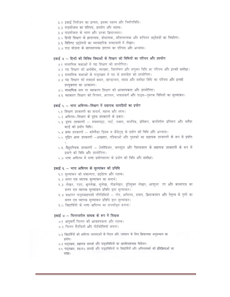- ३.२ इकाई नियोजन का प्रत्यय, इसका महत्त्व और निर्माणविधि।
- ३.३ पाठयोजना का परिचय, उपयोग और महत्त्व।
- ३.४ पाठयोजना के चरण और उनका क्रियान्वयन।
- ३.५ हिन्दी शिक्षण के ज्ञानात्मक, बोधात्मक, कौशलात्मक और रूचिगत उद्देश्यों का निर्धारण।
- ३.६ विशिष्ट उददेश्यों का व्यावहारिक शब्दावली में लेखन।
- ३.७ पाठ योजना के संरचनात्मक उपागम का परिचय और अभ्यास।

#### इकाई ४ – हिन्दी की विविध विधाओं के शिक्षण की विधियों का परिचय और उपयोग

- ४.१ माध्यमिक कक्षाओं में गद्य शिक्षण की उपयोगिता।
- ४.२ गद्य शिक्षण की अर्थबोध, व्याख्या, विश्लेषण और संयुक्त विधि का परिचय और इनकी समीक्षा।
- ४.३ माध्यमिक कक्षाओं के पाठयक्रम में पद्य के समावेश को उपयोगिता।
- ४.४ पद्य शिक्षण की शब्दार्थ कथन, खण्डान्वय, व्यास और समीक्षा विधि का परिचय और इनकी उपयुक्तता का आकलन।
- ४.५ माध्यमिक स्तर पर व्याकरण शिक्षण की आवश्यकता और उपयोगिता।
- ४.६ व्याकरण शिक्षण की निगमन, आगमन, भाषासंसर्ग और पाठ्य—पुस्तक विधियों का मूल्यांकन।

#### इकाई ५ – भाषा अधिगम-शिक्षण में सहायक सामग्रियों का प्रयोग

- ५.१ शिक्षण उपकरणों का सन्दर्भ, महत्त्व और लाभ।
- ५.२ अधिगम–शिक्षण के दृश्य उपकरणों के प्रकार।
- ५.३ दृश्य उपकरणों श्यामपट्ट, चार्ट, नक्शा, मानचित्र, प्रतिरूप, कार्यशील प्रतिरूप और फ्लैश कार्ड को प्रयोग विधि।
- ५.४ श्रव्य उपकरणों कॉम्पैक्ट डिस्क व कैसेट्स् के प्रयोग की विधि और अभ्यास।
- ५.५ मुद्रित श्रव्य उपकरणों –अखबार, पत्रिकाओं और पुस्तकों का सहायक उपकरणों के रूप में प्रयोग
- ५.६ वैद्युदण्विक उपकरणों टेलीविजन, कम्प्यूटर और विश्वजाल के सहायक उपकरणों के रूप में प्रयागे की विधि और उपयोगिता।
- ५.७ भाषा अधिगम में भाषा प्रयोगशाला के प्रयोग की विधि और समीक्षा।

#### इकाई ६ – भाषा अधिगम के मूल्यांकन की प्रविधि

- ६.१ मृल्यांकन की संकल्पना, उद्देश्य और महत्त्व।
- ६.२ सतत एवं व्यापक मूल्यांकन का सन्दर्भ।
- ६.३ लेखन, पठन, श्रुतलेख, सुलेख, तीव्रलेखन, त्रुटिमुक्त लेखन, आशुभा) ाण और काव्यपाठ का सतत एवं व्यापक मूल्यांकन प्रविधि द्वारा मूल्यांकन।
- ६.४ कक्षागत पाठ्यसहगामी गतिविधियों गीत, अभिनय, संवाद, क्रियाकलाप और नेतृत्व के गुणों का सतत एवं व्यापक मूल्यांकन प्रविधि द्वारा मूल्यांकन।
- ६.५ विद्यार्थियों के भाषा अधिगम का संचयीवृत्त बनाना।

#### इकाई ७ – चिन्तनशील साधक के रूप में शिक्षक

- ७.१ अनुवर्ती चिन्तन को आवश्यकता और महत्त्व।
- ७.२ चिन्तन दैनन्दिनी और पोर्टफोलियो बनाना।
- ७.३ विद्यार्थियों की अधिगम समस्याओं के निदान और समाधान के लिए क्रियात्मक अनुसन्धान का प्रयोग।
- ७.४ पाठ्यक्रम, सहायक सामग्री और पाठ्यविधियों का आलोचनात्मक विवेचन।
- ७.५ पाठ्यक्रम, सहायक सामग्री और पाठ्यविधियों पर विद्यार्थियों और अभिभावकों की प्रतिक्रियाओं का संग्रह।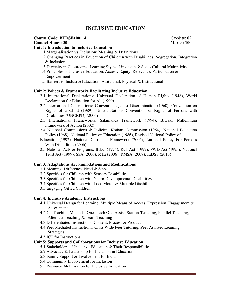# **INCLUSIVE EDUCATION**

# **Course Code: BEDSE100114** Course Code: BEDSE100114 Credits: 02<br>
Contact Hours: 30 Marks: 100 **Contact Hours: 30**

#### **Unit 1: Introduction to Inclusive Education**

- 1.1 Marginalisation vs. Inclusion: Meaning & Definitions
- 1.2 Changing Practices in Education of Children with Disabilities: Segregation, Integration & Inclusion
- 1.3 Diversity in Classrooms: Learning Styles, Linguistic & Socio-Cultural Multiplicity
- 1.4 Principles of Inclusive Education: Access, Equity, Relevance, Participation & Empowerment
- 1.5 Barriers to Inclusive Education: Attitudinal, Physical & Instructional

#### **Unit 2: Polices & Frameworks Facilitating Inclusive Education**

- 2.1 International Declarations: Universal Declaration of Human Rights (1948), World Declaration for Education for All (1990)
- 2.2 International Conventions: Convention against Discrimination (1960), Convention on Rights of a Child (1989), United Nations Convention of Rights of Persons with Disabilities (UNCRPD) (2006)
- 2.3 International Frameworks: Salamanca Framework (1994), Biwako Millennium Framework of Action (2002)
- 2.4 National Commissions & Policies: Kothari Commission (1964), National Education Policy (1968), National Policy on Education (1986), Revised National Policy of
- Education (1992), National Curricular Framework (2005), National Policy For Persons With Disabilities (2006)
- 2.5 National Acts & Programs: IEDC (1974), RCI Act (1992), PWD Act (1995), National Trust Act (1999), SSA (2000), RTE (2006), RMSA (2009), IEDSS (2013)

#### **Unit 3: Adaptations Accommodations and Modifications**

- 3.1 Meaning, Difference, Need & Steps
- 3.2 Specifics for Children with Sensory Disabilities
- 3.3 Specifics for Children with Neuro-Developmental Disabilities
- 3.4 Specifics for Children with Loco Motor & Multiple Disabilities
- 3.5 Engaging Gifted Children

#### **Unit 4: Inclusive Academic Instructions**

- 4.1 Universal Design for Learning: Multiple Means of Access, Expression, Engagement & Assessment
- 4.2 Co-Teaching Methods: One Teach One Assist, Station-Teaching, Parallel Teaching, Alternate Teaching & Team Teaching
- 4.3 Differentiated Instructions: Content, Process & Product
- 4.4 Peer Mediated Instructions: Class Wide Peer Tutoring, Peer Assisted Learning Strategies
- 4.5 ICT for Instructions

#### **Unit 5: Supports and Collaborations for Inclusive Education**

- 5.1 Stakeholders of Inclusive Education & Their Responsibilities
- 5.2 Advocacy & Leadership for Inclusion in Education
- 5.3 Family Support & Involvement for Inclusion
- 5.4 Community Involvement for Inclusion
- 5.5 Resource Mobilisation for Inclusive Education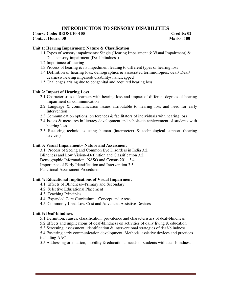# **INTRODUCTION TO SENSORY DISABILITIES**

# **Course Code: BEDSE100105 Credits: 02**

**Contact Hours: 30** Marks: 100

# **Unit 1: Hearing Impairment: Nature & Classification**

- 1.1 Types of sensory impairments: Single (Hearing Impairment & Visual Impairment) & Dual sensory impairment (Deaf-blindness)
- 1.2 Importance of hearing
- 1.3 Process of hearing & its impediment leading to different types of hearing loss
- 1.4 Definition of hearing loss, demographics & associated terminologies: deaf/ Deaf/ deafness/ hearing impaired/ disability/ handicapped
- 1.5 Challenges arising due to congenital and acquired hearing loss

# **Unit 2: Impact of Hearing Loss**

- 2.1 Characteristics of learners with hearing loss and impact of different degrees of hearing impairment on communication
- 2.2 Language & communication issues attributable to hearing loss and need for early Intervention
- 2.3 Communication options, preferences & facilitators of individuals with hearing loss
- 2.4 Issues & measures in literacy development and scholastic achievement of students with hearing loss
- 2.5 Restoring techniques using human (interpreter) & technological support (hearing devices)

# **Unit 3: Visual Impairment-- Nature and Assessment**

3.1. Process of Seeing and Common Eye Disorders in India 3.2. Blindness and Low Vision--Definition and Classification 3.2. Demographic Information--NSSO and Census 2011 3.4. Importance of Early Identification and Intervention 3.5. Functional Assessment Procedures

# **Unit 4: Educational Implications of Visual Impairment**

- 4.1. Effects of Blindness--Primary and Secondary
- 4.2. Selective Educational Placement
- 4.3. Teaching Principles
- 4.4. Expanded Core Curriculum-- Concept and Areas
- 4.5. Commonly Used Low Cost and Advanced Assistive Devices

# **Unit 5: Deaf-blindness**

- 5.1 Definition, causes, classification, prevalence and characteristics of deaf-blindness
- 5.2 Effects and implications of deaf-blindness on activities of daily living & education
- 5.3 Screening, assessment, identification & interventional strategies of deaf-blindness

5.4 Fostering early communication development: Methods, assistive devices and practices including AAC

5.5 Addressing orientation, mobility & educational needs of students with deaf-blindness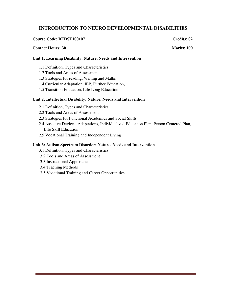# **INTRODUCTION TO NEURO DEVELOPMENTAL DISABILITIES**

## **Course Code: BEDSE100107** Credits: 02

## **Contact Hours: 30 Marks: 100 Marks: 100 Marks: 100 Marks: 100 Marks: 100 Marks: 100 Marks: 100 Marks: 100 Marks: 100 Marks: 100 Marks: 100 Marks: 100 Marks: 100 Marks: 100 Marks: 100 Marks: 100 Marks: 100 Marks: 100 Marks**

## **Unit 1: Learning Disability: Nature, Needs and Intervention**

- 1.1 Definition, Types and Characteristics
- 1.2 Tools and Areas of Assessment
- 1.3 Strategies for reading, Writing and Maths
- 1.4 Curricular Adaptation, IEP, Further Education,
- 1.5 Transition Education, Life Long Education

## **Unit 2: Intellectual Disability: Nature, Needs and Intervention**

- 2.1 Definition, Types and Characteristics
- 2.2 Tools and Areas of Assessment
- 2.3 Strategies for Functional Academics and Social Skills
- 2.4 Assistive Devices, Adaptations, Individualized Education Plan, Person Centered Plan, Life Skill Education
- 2.5 Vocational Training and Independent Living

#### **Unit 3: Autism Spectrum Disorder: Nature, Needs and Intervention**

- 3.1 Definition, Types and Characteristics
- 3.2 Tools and Areas of Assessment
- 3.3 Instructional Approaches
- 3.4 Teaching Methods
- 3.5 Vocational Training and Career Opportunities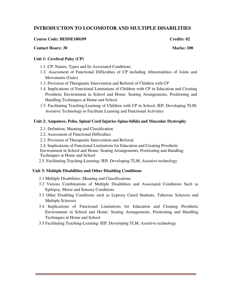# **INTRODUCTION TO LOCOMOTOR AND MULTIPLE DISABILITIES**

#### **Course Code: BEDSE100109 Credits: 02 Credits: 02 Credits: 02**

#### **Contact Hours: 30** Marks: 100

## **Unit 1: Cerebral Palsy (CP)**

- 1.1. CP: Nature, Types and Its Associated Conditions
- 1.2. Assessment of Functional Difficulties of CP including Abnormalities of Joints and Movements (Gaits)
- 1.3. Provision of Therapeutic Intervention and Referral of Children with CP
- 1.4. Implications of Functional Limitations of Children with CP in Education and Creating Prosthetic Environment in School and Home: Seating Arrangements, Positioning and Handling Techniques at Home and School
- 1.5. Facilitating Teaching-Learning of Children with CP in School, IEP, Developing TLM; Assistive Technology to Facilitate Learning and Functional Activities

#### **Unit 2: Amputees, Polio, Spinal Cord Injuries Spina-bifida and Muscular Dystrophy**

- 2.1. Definition, Meaning and Classification
- 2.2. Assessment of Functional Difficulties
- 2.3. Provision of Therapeutic Intervention and Referral

2.4. Implications of Functional Limitations for Education and Creating Prosthetic Environment in School and Home: Seating Arrangements, Positioning and Handling Techniques at Home and School

2.5. Facilitating Teaching-Learning: IEP, Developing TLM; Assistive technology

#### **Unit 3: Multiple Disabilities and Other Disabling Conditions**

- 3.1 Multiple Disabilities: Meaning and Classifications
- 3.2 Various Combinations of Multiple Disabilities and Associated Conditions Such as Epilepsy, Motor and Sensory Conditions
- 3.3 Other Disabling Conditions such as Leprosy Cured Students, Tuberous Sclerosis and Multiple Sclerosis
- 3.4 Implications of Functional Limitations for Education and Creating Prosthetic Environment in School and Home: Seating Arrangements, Positioning and Handling Techniques at Home and School
- 3.5 Facilitating Teaching-Learning: IEP, Developing TLM; Assistive technology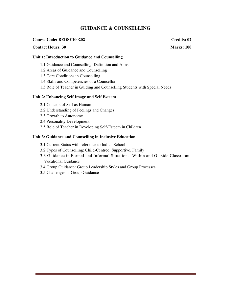# **GUIDANCE & COUNSELLING**

## **Course Code: BEDSE100202** Credits: 02

## **Contact Hours: 30 Marks: 100 Marks: 100 Marks: 100 Marks: 100 Marks: 100 Marks: 100 Marks: 100 Marks: 100 Marks: 100 Marks: 100 Marks: 100 Marks: 100 Marks: 100 Marks: 100 Marks: 100 Marks: 100 Marks: 100 Marks: 100 Marks**

## **Unit 1: Introduction to Guidance and Counselling**

- 1.1 Guidance and Counselling: Definition and Aims
- 1.2 Areas of Guidance and Counselling
- 1.3 Core Conditions in Counselling
- 1.4 Skills and Competencies of a Counsellor
- 1.5 Role of Teacher in Guiding and Counselling Students with Special Needs

## **Unit 2: Enhancing Self Image and Self Esteem**

- 2.1 Concept of Self as Human
- 2.2 Understanding of Feelings and Changes
- 2.3 Growth to Autonomy
- 2.4 Personality Development
- 2.5 Role of Teacher in Developing Self-Esteem in Children

## **Unit 3: Guidance and Counselling in Inclusive Education**

- 3.1 Current Status with reference to Indian School
- 3.2 Types of Counselling: Child-Centred, Supportive, Family
- 3.3 Guidance in Formal and Informal Situations: Within and Outside Classroom, Vocational Guidance
- 3.4 Group Guidance: Group Leadership Styles and Group Processes
- 3.5 Challenges in Group Guidance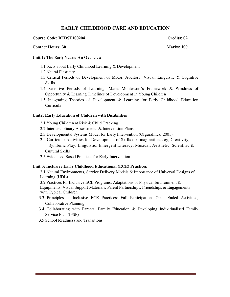# **EARLY CHILDHOOD CARE AND EDUCATION**

#### **Course Code: BEDSE100204 22 22 23 23 24 25 26 27 27 28 27 28 27 28 27 28 27 28 27 28 27 28 27 28 27 28 27 28 27 28 27 28 27 28 27 28 27 28 27 28 27 28 27 28 27 28 27 28 27 28 27 28 27 28 27 28 27 28 27 28 27 28 27 28 27 2**

#### **Contact Hours: 30 Marks: 100**

# **Unit 1: The Early Years: An Overview**

- 1.1 Facts about Early Childhood Learning & Development
- 1.2 Neural Plasticity
- 1.3 Critical Periods of Development of Motor, Auditory, Visual, Linguistic & Cognitive Skills
- 1.4 Sensitive Periods of Learning: Maria Montessori's Framework & Windows of Opportunity & Learning Timelines of Development in Young Children
- 1.5 Integrating Theories of Development & Learning for Early Childhood Education Curricula

#### **Unit2: Early Education of Children with Disabilities**

- 2.1 Young Children at Risk & Child Tracking
- 2.2 Interdisciplinary Assessments & Intervention Plans
- 2.3 Developmental Systems Model for Early Intervention (Ofguralnick, 2001)
- 2.4 Curricular Activities for Development of Skills of: Imagination, Joy, Creativity, Symbolic Play, Linguistic, Emergent Literacy, Musical, Aesthetic, Scientific & Cultural Skills
- 2.5 Evidenced Based Practices for Early Intervention

#### **Unit 3: Inclusive Early Childhood Educational (ECE) Practices**

3.1 Natural Environments, Service Delivery Models & Importance of Universal Designs of Learning (UDL)

3.2 Practices for Inclusive ECE Programs: Adaptations of Physical Environment & Equipments, Visual Support Materials, Parent Partnerships, Friendships & Engagements with Typical Children

- 3.3 Principles of Inclusive ECE Practices: Full Participation, Open Ended Activities, Collaborative Planning
- 3.4 Collaborating with Parents, Family Education & Developing Individualised Family Service Plan (IFSP)
- 3.5 School Readiness and Transitions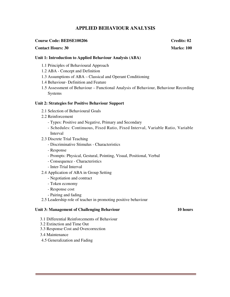# **APPLIED BEHAVIOUR ANALYSIS**

#### **Course Code: BEDSE100206** Course Credits: 02

## **Contact Hours: 30** Marks: 100

**Unit 1: Introduction to Applied Behaviour Analysis (ABA)** 

- 1.1 Principles of Behavioural Approach
- 1.2 ABA Concept and Definition
- 1.3 Assumptions of ABA Classical and Operant Conditioning
- 1.4 Behaviour- Definition and Feature
- 1.5 Assessment of Behaviour Functional Analysis of Behaviour, Behaviour Recording Systems

#### **Unit 2: Strategies for Positive Behaviour Support**

- 2.1 Selection of Behavioural Goals
- 2.2 Reinforcement
	- Types: Positive and Negative, Primary and Secondary
	- Schedules: Continuous, Fixed Ratio, Fixed Interval, Variable Ratio, Variable Interval
- 2.3 Discrete Trial Teaching
	- Discriminative Stimulus Characteristics
	- Response
	- Prompts: Physical, Gestural, Pointing, Visual, Positional, Verbal
	- Consequence Characteristics
	- Inter-Trial Interval
- 2.4 Application of ABA in Group Setting
	- Negotiation and contract
	- Token economy
	- Response cost
	- Pairing and fading
- 2.5 Leadership role of teacher in promoting positive behaviour

## Unit 3: Management of Challenging Behaviour **10 hours**

- 3.1 Differential Reinforcements of Behaviour
- 3.2 Extinction and Time Out
- 3.3 Response Cost and Overcorrection
- 3.4 Maintenance
- 4.5 Generalization and Fading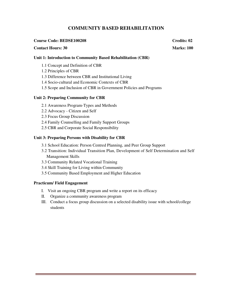# **COMMUNITY BASED REHABILITATION**

## **Course Code: BEDSE100208** Credits: 02

## **Contact Hours: 30** Marks: 100

## **Unit 1: Introduction to Community Based Rehabilitation (CBR)**

- 1.1 Concept and Definition of CBR
- 1.2 Principles of CBR
- 1.3 Difference between CBR and Institutional Living
- 1.4 Socio-cultural and Economic Contexts of CBR
- 1.5 Scope and Inclusion of CBR in Government Policies and Programs

## **Unit 2: Preparing Community for CBR**

- 2.1 Awareness Program-Types and Methods
- 2.2 Advocacy Citizen and Self
- 2.3 Focus Group Discussion
- 2.4 Family Counselling and Family Support Groups
- 2.5 CBR and Corporate Social Responsibility

## **Unit 3: Preparing Persons with Disability for CBR**

- 3.1 School Education: Person Centred Planning, and Peer Group Support
- 3.2 Transition: Individual Transition Plan, Development of Self Determination and Self Management Skills
- 3.3 Community Related Vocational Training
- 3.4 Skill Training for Living within Community
- 3.5 Community Based Employment and Higher Education

#### **Practicum/ Field Engagement**

- I. Visit an ongoing CBR program and write a report on its efficacy
- II. Organize a community awareness program
- III. Conduct a focus group discussion on a selected disability issue with school/college students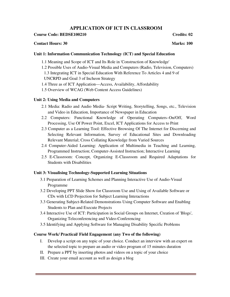# **APPLICATION OF ICT IN CLASSROOM**

# **Course Code: BEDSE100210** Credits: 02

# **Contact Hours: 30** Marks: 100

# **Unit 1: Information Communication Technology (ICT) and Special Education**

- 1.1 Meaning and Scope of ICT and Its Role in 'Construction of Knowledge'
- 1.2 Possible Uses of Audio-Visual Media and Computers (Radio, Television, Computers) 1.3 Integrating ICT in Special Education With Reference To Articles 4 and 9 of UNCRPD and Goal 3 of Incheon Strategy
- 1.4 Three as of ICT Application—Access, Availability, Affordability
- 1.5 Overview of WCAG (Web Content Access Guidelines)

# **Unit 2: Using Media and Computers**

- 2.1 Media: Radio and Audio Media- Script Writing, Storytelling, Songs, etc., Television and Video in Education, Importance of Newspaper in Education
- 2.2 Computers: Functional Knowledge of Operating Computers–On/Off, Word Processing, Use Of Power Point, Excel, ICT Applications for Access to Print
- 2.3 Computer as a Learning Tool: Effective Browsing Of The Internet for Discerning and Selecting Relevant Information, Survey of Educational Sites and Downloading Relevant Material; Cross Collating Knowledge from Varied Sources
- 2.4 Computer-Aided Learning: Application of Multimedia in Teaching and Learning, Programmed Instruction; Computer-Assisted Instruction; Interactive Learning
- 2.5 E-Classroom: Concept, Organizing E-Classroom and Required Adaptations for Students with Disabilities

# **Unit 3: Visualising Technology-Supported Learning Situations**

- 3.1 Preparation of Learning Schemes and Planning Interactive Use of Audio-Visual Programme
- 3.2 Developing PPT Slide Show for Classroom Use and Using of Available Software or CDs with LCD Projection for Subject Learning Interactions
- 3.3 Generating Subject-Related Demonstrations Using Computer Software and Enabling Students to Plan and Execute Projects
- 3.4 Interactive Use of ICT: Participation in Social Groups on Internet, Creation of 'Blogs', Organizing Teleconferencing and Video-Conferencing
- 3.5 Identifying and Applying Software for Managing Disability Specific Problems

# **Course Work/ Practical/ Field Engagement (any Two of the following)**

- I. Develop a script on any topic of your choice. Conduct an interview with an expert on the selected topic to prepare an audio or video program of 15 minutes duration
- II. Prepare a PPT by inserting photos and videos on a topic of your choice
- III. Create your email account as well as design a blog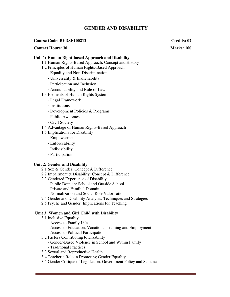# **GENDER AND DISABILITY**

#### **Course Code: BEDSE100212 Credits: 02**

#### **Contact Hours: 30 Marks: 100 Marks: 100 Marks: 100 Marks: 100 Marks: 100 Marks: 100 Marks: 100 Marks: 100 Marks: 100 Marks: 100 Marks: 100 Marks: 100 Marks: 100 Marks: 100 Marks: 100 Marks: 100 Marks: 100 Marks: 100 Marks**

#### **Unit 1: Human Right-based Approach and Disability**

- 1.1 Human Rights-Based Approach: Concept and History
- 1.2 Principles of Human Rights-Based Approach
	- Equality and Non-Discrimination
	- Universality & Inalienability
	- Participation and Inclusion
	- Accountability and Rule of Law
- 1.3 Elements of Human Rights System
	- Legal Framework
	- Institutions
	- Development Policies & Programs
	- Public Awareness
	- Civil Society
- 1.4 Advantage of Human Rights-Based Approach
- 1.5 Implications for Disability
	- Empowerment
	- Enforceability
	- Indivisibility
	- Participation

#### **Unit 2: Gender and Disability**

- 2.1 Sex & Gender: Concept & Difference
- 2.2 Impairment & Disability: Concept & Difference
- 2.3 Gendered Experience of Disability
	- Public Domain: School and Outside School
	- Private and Familial Domain
	- Normalization and Social Role Valorisation
- 2.4 Gender and Disability Analysis: Techniques and Strategies
- 2.5 Psyche and Gender: Implications for Teaching

## **Unit 3: Women and Girl Child with Disability**

- 3.1 Inclusive Equality
	- Access to Family Life
	- Access to Education, Vocational Training and Employment
	- Access to Political Participation
- 3.2 Factors Contributing to Disability
	- Gender-Based Violence in School and Within Family
	- Traditional Practices
- 3.3 Sexual and Reproductive Health
- 3.4 Teacher's Role in Promoting Gender Equality
- 3.5 Gender Critique of Legislation, Government Policy and Schemes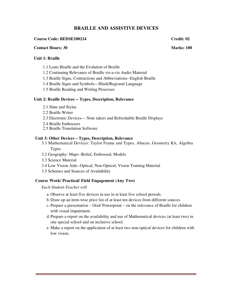# **BRAILLE AND ASSISTIVE DEVICES**

## **Course Code: BEDSE100214 Credit: 02 22 23 23 24 Credit: 02 23 24 25 26 27 27 28 27 28 27 28 27 28 27 28 27 28 27 28 27 28 27 28 27 28 27 28 27 28 27 28 27 28 27 28 27 28 27 28 27 28 27 28 27 28 27 28 27 28 27 28 27 28 27**

#### **Contact Hours: 30 Marks: 100**

# **Unit 1: Braille**

- 1.1 Louis Braille and the Evolution of Braille
- 1.2 Continuing Relevance of Braille vis-a-vis Audio Material
- 1.3 Braille Signs, Contractions and Abbreviations--English Braille
- 1.4 Braille Signs and Symbols—Hindi/Regional Language
- 1.5 Braille Reading and Writing Processes

#### **Unit 2: Braille Devices -- Types, Description, Relevance**

- 2.1 Slate and Stylus
- 2.2 Braille Writer
- 2.3 Electronic Devices— Note takers and Refreshable Braille Displays
- 2.4 Braille Embossers
- 2.5 Braille Translation Software

#### **Unit 3: Other Devices – Types, Description, Relevance**

- 3.1 Mathematical Devices: Taylor Frame and Types, Abacus, Geometry Kit, Algebra Types
- 3.2 Geography: Maps--Relief, Embossed, Models
- 3.3 Science Material
- 3.4 Low Vision Aids--Optical, Non-Optical, Vision Training Material
- 3.5 Schemes and Sources of Availability

#### **Course Work/ Practical/ Field Engagement (Any Two)**

*Each Student-Teacher will* 

- a. Observe at least five devices in use in at least five school periods.
- b.Draw up an item-wise price list of at least ten devices from different sources.
- c. Prepare a presentation Oral/ Powerpoint on the relevance of Braille for children with visual impairment.
- d. Prepare a report on the availability and use of Mathematical devices (at least two) in one special school and on inclusive school.
- e. Make a report on the application of at least two non-optical devices for children with low vision.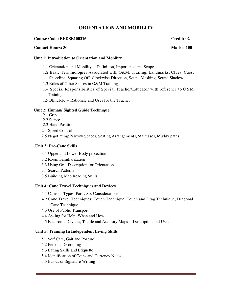# **ORIENTATION AND MOBILITY**

## **Course Code: BEDSE100216** Course Credit: 02

## **Contact Hours: 30 Marks: 100 Marks: 100 Marks: 100 Marks: 100 Marks: 100 Marks: 100 Marks: 100 Marks: 100 Marks: 100 Marks: 100 Marks: 100 Marks: 100 Marks: 100 Marks: 100 Marks: 100 Marks: 100 Marks: 100 Marks: 100 Marks**

## **Unit 1: Introduction to Orientation and Mobility**

- 1.1 Orientation and Mobility -- Definition, Importance and Scope
- 1.2 Basic Terminologies Associated with O&M: Trailing, Landmarks, Clues, Cues, Shoreline, Squaring Off, Clockwise Direction, Sound Masking, Sound Shadow
- 1.3 Roles of Other Senses in O&M Training
- 1.4 Special Responsibilities of Special Teacher/Educator with reference to O&M **Training**
- 1.5 Blindfold -- Rationale and Uses for the Teacher

# **Unit 2: Human/ Sighted Guide Technique**

- 2.1 Grip
- 2.2 Stance
- 2.3 Hand Position
- 2.4 Speed Control
- 2.5 Negotiating: Narrow Spaces, Seating Arrangements, Staircases, Muddy paths

## **Unit 3: Pre-Cane Skills**

- 3.1 Upper and Lower Body protection
- 3.2 Room Familiarization
- 3.3 Using Oral Description for Orientation
- 3.4 Search Patterns
- 3.5 Building Map Reading Skills

#### **Unit 4: Cane Travel Techniques and Devices**

- 4.1 Canes -- Types, Parts, Six Considerations
- 4.2 Cane Travel Techniques: Touch Technique, Touch and Drag Technique, Diagonal Cane Technique
- 4.3 Use of Public Transport
- 4.4 Asking for Help: When and How
- 4.5 Electronic Devices, Tactile and Auditory Maps -- Description and Uses

#### **Unit 5: Training In Independent Living Skills**

- 5.1 Self Care, Gait and Posture
- 5.2 Personal Grooming
- 5.3 Eating Skills and Etiquette
- 5.4 Identification of Coins and Currency Notes
- 5.5 Basics of Signature Writing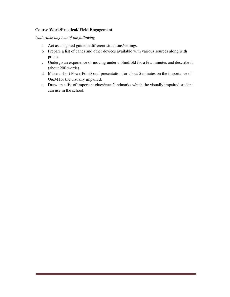# **Course Work/Practical/ Field Engagement**

*Undertake any two of the following* 

- a. Act as a sighted guide in different situations/settings.
- b. Prepare a list of canes and other devices available with various sources along with prices.
- c. Undergo an experience of moving under a blindfold for a few minutes and describe it (about 200 words).
- d. Make a short PowerPoint/ oral presentation for about 5 minutes on the importance of O&M for the visually impaired.
- e. Draw up a list of important clues/cues/landmarks which the visually impaired student can use in the school.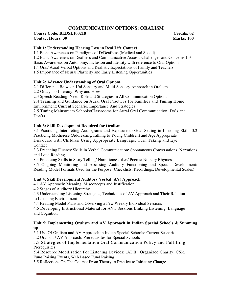# **COMMUNICATION OPTIONS: ORALISM**

## **Course Code: BEDSE100218** Credits: 02 **Contact Hours: 30** Marks: 100

# **Unit 1: Understanding Hearing Loss in Real Life Context**

1.1 Basic Awareness on Paradigms of D/Deafness (Medical and Social) 1.2 Basic Awareness on Deafness and Communicative Access: Challenges and Concerns 1.3 Basic Awareness on Autonomy, Inclusion and Identity with reference to Oral Options 1.4 Oral/ Aural Verbal Options and Realistic Expectations of Family and Teachers 1.5 Importance of Neural Plasticity and Early Listening Opportunities

# **Unit 2: Advance Understanding of Oral Options**

2.1 Difference Between Uni Sensory and Multi Sensory Approach in Oralism

2.2 Oracy To Literacy: Why and How

2.3 Speech Reading: Need, Role and Strategies in All Communication Options

2.4 Training and Guidance on Aural Oral Practices for Families and Tuning Home Environment: Current Scenario, Importance And Strategies

2.5 Tuning Mainstream Schools/Classrooms for Aural Oral Communication: Do's and Don'ts

# **Unit 3: Skill Development Required for Oralism**

3.1 Practicing Interpreting Audiograms and Exposure to Goal Setting in Listening Skills 3.2 Practicing Motherese (Addressing/Talking to Young Children) and Age Appropriate Discourse with Children Using Appropriate Language, Turn Taking and Eye Contact

3.3 Practicing Fluency Skills in Verbal Communication: Spontaneous Conversations, Narrations and Loud Reading

3.4 Practicing Skills in Story Telling/ Narrations/ Jokes/ Poems/ Nursery Rhymes

3.5 Ongoing Monitoring and Assessing Auditory Functioning and Speech Development: Reading Model Formats Used for the Purpose (Checklists, Recordings, Developmental Scales)

# **Unit 4: Skill Development Auditory Verbal (AV) Approach**

4.1 AV Approach: Meaning, Misconcepts and Justification

4.2 Stages of Auditory Hierarchy

4.3 Understanding Listening Strategies, Techniques of AV Approach and Their Relation to Listening Environment

4.4 Reading Model Plans and Observing a Few Weekly Individual Sessions

4.5 Developing Instructional Material for AVT Sessions Linking Listening, Language and Cognition

# **Unit 5: Implementing Oralism and AV Approach in Indian Special Schools & Summing up**

5.1 Use Of Oralism and AV Approach in Indian Special Schools: Current Scenario

5.2 Oralism / AV Approach: Prerequisites for Special Schools

5.3 Strategies of Implementation Oral Communication Policy and Fulfilling Prerequisites

5.4 Resource Mobilization For Listening Devices: (ADIP, Organized Charity, CSR, Fund Raising Events, Web Based Fund Raising)

5.5 Reflections On The Course: From Theory to Practice to Initiating Change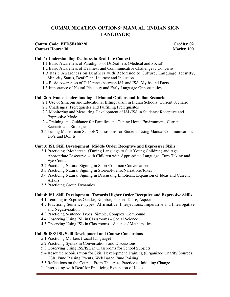# **COMMUNICATION OPTIONS: MANUAL (INDIAN SIGN LANGUAGE)**

#### **Course Code: BEDSE100220** Credits: 02 **Contact Hours: 30 Marks: 100**

# **Unit 1: Understanding Deafness in Real Life Context**

- 1.1 Basic Awareness of Paradigms of D/Deafness (Medical and Social)
- 1.2 Basic Awareness of Deafness and Communicative Challenges / Concerns
- 1.3 Basic Awareness on Deafness with Reference to Culture, Language, Identity, Minority Status, Deaf Gain, Literacy and Inclusion
- 1.4 Basic Awareness of Difference between ISL and ISS; Myths and Facts
- 1.5 Importance of Neural Plasticity and Early Language Opportunities

# **Unit 2: Advance Understanding of Manual Options and Indian Scenario**

- 2.1 Use of Simcom and Educational Bilingualism in Indian Schools: Current Scenario
- 2.2 Challenges, Prerequisites and Fulfilling Prerequisites
- 2.3 Monitoring and Measuring Development of ISL/ISS in Students: Receptive and Expressive Mode
- 2.4 Training and Guidance for Families and Tuning Home Environment: Current Scenario and Strategies
- 2.5 Tuning Mainstream Schools/Classrooms for Students Using Manual Communication: Do's and Don'ts

# **Unit 3: ISL Skill Development: Middle Order Receptive and Expressive Skills**

- 3.1 Practicing 'Motherese' (Tuning Language to Suit Young Children) and Age Appropriate Discourse with Children with Appropriate Language, Turn Taking and Eye Contact
- 3.2 Practicing Natural Signing in Short Common Conversations
- 3.3 Practicing Natural Signing in Stories/Poems/Narrations/Jokes
- 3.4 Practicing Natural Signing in Discussing Emotions, Expansion of Ideas and Current Affairs
- 3.5 Practicing Group Dynamics

# **Unit 4: ISL Skill Development: Towards Higher Order Receptive and Expressive Skills**

- 4.1 Learning to Express Gender, Number, Person, Tense, Aspect
- 4.2 Practicing Sentence Types: Affirmative, Interjections, Imperative and Interrogative and Negativization
- 4.3 Practicing Sentence Types: Simple, Complex, Compound
- 4.4 Observing Using ISL in Classrooms Social Science
- 4.5 Observing Using ISL in Classrooms Science / Mathematics

# **Unit 5: ISS/ ISL Skill Development and Course Conclusions**

- 5.1 Practicing Markers (Local Language)
- 5.2 Practicing Syntax in Conversations and Discussions
- 5.3 Observing Using ISS/ISL in Classrooms for School Subjects
- 5.4 Resource Mobilization for Skill Development Training (Organized Charity Sources, CSR, Fund Raising Events, Web Based Fund Raising)
- 5.5 Reflections on the Course: From Theory to Practice to Initiating Change
- I. Interacting with Deaf for Practicing Expansion of Ideas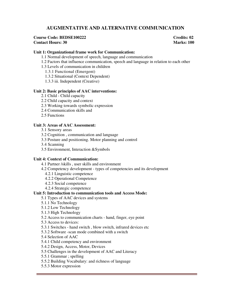# **AUGMENTATIVE AND ALTERNATIVE COMMUNICATION**

#### **Course Code: BEDSE100222** Credits: 02 **Contact Hours: 30** Marks: 100

## **Unit 1: Organizational frame work for Communication:**

- 1.1 Normal development of speech, language and communication
- 1.2 Factors that influence communication, speech and language in relation to each other
- 1.3 Levels of communication in children
	- 1.3.1 Functional (Emergent)
	- 1.3.2 Situational (Context Dependent)
	- 1.3.3 iii. Independent (Creative)

#### **Unit 2: Basic principles of AAC interventions:**

- 2.1 Child Child capacity
- 2.2 Child capacity and context
- 2.3 Working towards symbolic expression
- 2.4 Communication skills and
- 2.5 Functions

#### **Unit 3: Areas of AAC Assessment:**

- 3.1 Sensory areas
- 3.2 Cognition , communication and language
- 3.3 Posture and positioning. Motor planning and control
- 3.4 Scanning
- 3.5 Environment, Interaction &Symbols

#### **Unit 4: Context of Communication:**

- 4.1 Partner /skills , user skills and environment
- 4.2 Competency development types of competencies and its development
	- 4.2.1 Linguistic competence
	- 4.2.2 Operational Competence
	- 4.2.3 Social competence
	- 4.2.4 Strategic competence

# **Unit 5: Introduction to communication tools and Access Mode:**

- 5.1 Types of AAC devices and systems
- 5.1.1 No Technology
- 5.1.2 Low Technology
- 5.1.3 High Technology
- 5.2 Access to communication charts hand, finger, eye point
- 5.3 Access to devices:
- 5.3.1 Switches hand switch , blow switch, infrared devices etc
- 5.3.2 Software -scan mode combined with a switch
- 5.4 Selection of AAC
- 5.4.1 Child competency and environment
- 5.4.2 Design, Access, Motor, Devices
- 5.5 Challenges in the development of AAC and Literacy
- 5.5.1 Grammar ; spelling
- 5.5.2 Building Vocabulary: and richness of language
- 5.5.3 Motor expression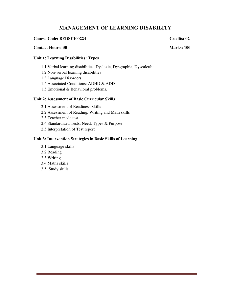# **MANAGEMENT OF LEARNING DISABILITY**

## **Course Code: BEDSE100224 Credits: 02 Credits: 02 Credits: 02 Credits: 02 Credits: 02**

## **Contact Hours: 30 Marks: 100 Marks: 100 Marks: 100 Marks: 100 Marks: 100 Marks: 100 Marks: 100 Marks: 100 Marks: 100 Marks: 100 Marks: 100 Marks: 100 Marks: 100 Marks: 100 Marks: 100 Marks: 100 Marks: 100 Marks: 100 Marks**

# **Unit 1: Learning Disabilities: Types**

- 1.1 Verbal learning disabilities: Dyslexia, Dysgraphia, Dyscalculia.
- 1.2 Non-verbal learning disabilities
- 1.3 Language Disorders
- 1.4 Associated Conditions: ADHD & ADD
- 1.5 Emotional & Behavioral problems.

# **Unit 2: Assessment of Basic Curricular Skills**

- 2.1 Assessment of Readiness Skills
- 2.2 Assessment of Reading, Writing and Math skills
- 2.3 Teacher made test
- 2.4 Standardized Tests: Need, Types & Purpose
- 2.5 Interpretation of Test report

## **Unit 3: Intervention Strategies in Basic Skills of Learning**

- 3.1 Language skills
- 3.2 Reading
- 3.3 Writing
- 3.4 Maths skills
- 3.5. Study skills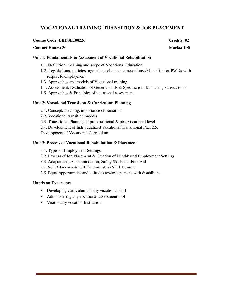# **VOCATIONAL TRAINING, TRANSITION & JOB PLACEMENT**

#### **Course Code: BEDSE100226 Credits: 02**

#### **Contact Hours: 30** Marks: 100

#### **Unit 1: Fundamentals & Assessment of Vocational Rehabilitation**

- 1.1. Definition, meaning and scope of Vocational Education
- 1.2. Legislations, policies, agencies, schemes, concessions & benefits for PWDs with respect to employment
- 1.3. Approaches and models of Vocational training
- 1.4. Assessment, Evaluation of Generic skills & Specific job skills using various tools
- 1.5. Approaches & Principles of vocational assessment

## **Unit 2: Vocational Transition & Curriculum Planning**

- 2.1. Concept, meaning, importance of transition
- 2.2. Vocational transition models
- 2.3. Transitional Planning at pre-vocational & post-vocational level
- 2.4. Development of Individualized Vocational Transitional Plan 2.5.
- Development of Vocational Curriculum

## **Unit 3: Process of Vocational Rehabilitation & Placement**

- 3.1. Types of Employment Settings
- 3.2. Process of Job Placement & Creation of Need-based Employment Settings
- 3.3. Adaptations, Accommodation, Safety Skills and First Aid
- 3.4. Self Advocacy & Self Determination Skill Training
- 3.5. Equal opportunities and attitudes towards persons with disabilities

#### **Hands on Experience**

- Developing curriculum on any vocational skill
- Administering any vocational assessment tool
- Visit to any vocation Institution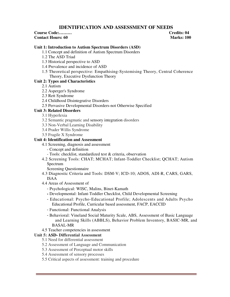# **IDENTIFICATION AND ASSESSMENT OF NEEDS**

# **Course Code:……… Credits: 04**

**Contact Hours: 60** Marks: 100

# **Unit 1: Introduction to Autism Spectrum Disorders (ASD)**

- 1.1 Concept and definition of Autism Spectrum Disorders
- 1.2 The ASD Triad
- 1.3 Historical perspective to ASD
- 1.4 Prevalence and incidence of ASD
- 1.5 Theoretical perspective: Empathising-Systemising Theory, Central Coherence Theory, Executive Dysfunction Theory

# **Unit 2: Types and Characteristics**

- 2.1 Autism
- 2.2 Asperger's Syndrome
- 2.3 Rett Syndrome
- 2.4 Childhood Disintegrative Disorders
- 2.5 Pervasive Developmental Disorders-not Otherwise Specified

# **Unit 3: Related Disorders**

- 3.1 Hyperlexia
- 3.2 Semantic pragmatic and sensory integration disorders
- 3.3 Non-Verbal Learning Disability
- 3.4 Prader Willis Syndrome
- 3.5 Fragile X Syndrome

# **Unit 4: Identification and Assessment**

- 4.1 Screening, diagnosis and assessment
	- Concept and definition
	- Tools: checklist, standardized test & criteria, observation
- 4.2 Screening Tools: CHAT; MCHAT; Infant-Toddler Checklist; QCHAT; Autism Spectrum

Screening Questionnaire

- 4.3 Diagnostic Criteria and Tools: DSM-V; ICD-10; ADOS, ADI-R, CARS, GARS, ISAA
- 4.4 Areas of Assessment of
	- Psychological: WISC, Malins, Binet-Kamath
	- Developmental: Infant-Toddler Checklist, Child Developmental Screening
	- Educational: Psycho-Educational Profile; Adolescents and Adults Psycho Educational Profile, Curricular based assessment, FACP, EACCID
	- Functional: Functional Analysis
	- Behavioral: Vineland Social Maturity Scale, ABS, Assessment of Basic Language and Learning Skills (ABBLS), Behavior Problem Inventory, BASIC-MR, and BASAL-MR
- 4.5 Teacher competencies in assessment

# **Unit 5: ASD- Differential Assessment**

- 5.1 Need for differential assessment
- 5.2 Assessment of Language and Communication
- 5.3 Assessment of Perceptual motor skills
- 5.4 Assessment of sensory processes
- 5.5 Critical aspects of assessment: training and procedure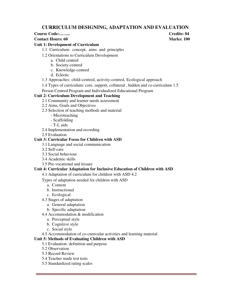# **CURRICULUM DESIGNING, ADAPTATION AND EVALUATION**

**Course Code:…….. Credits: 04** 

## **Contact Hours: 60** Marks: 100

# **Unit 1: Development of Curriculum**

- 1.1 Curriculum: concept, aims and principles
- 1.2 Orientations to Curriculum Development
	- a. Child centred
	- b. Society-centred
	- c. Knowledge-centred
	- d. Eclectic
- 1.3 Approaches: child-centred, activity-centred, Ecological approach
- 1.4 Types of curriculum: core, support, collateral , hidden and co-curriculum 1.5

Person Centred Program and Individualized Educational Program

# **Unit 2: Curriculum Development and Teaching**

- 2.1 Community and learner needs assessment
- 2.2 Aims, Goals and Objectives
- 2.3 Selection of teaching methods and material
	- Microteaching
	- Scaffolding
	- T-L aids
- 2.4 Implementation and recording
- 2.5 Evaluation

# **Unit 3: Curricular Focus for Children with ASD**

- 3.1 Language and social communication
- 3.2 Self-care
- 3.3 Social behaviour
- 3.4 Academic skills
- 3.5 Pre-vocational and leisure

# **Unit 4: Curricular Adaptation for Inclusive Education of Children with ASD**

4.1 Adaptation of curriculum for children with ASD 4.2

Types of adaptation needed for children with ASD

- a. Content
- b. Instructional
- c. Ecological
- 4.3 Stages of adaptation
	- a. General adaptation
	- b. Specific adaptation
- 4.4 Accommodation & modification
	- a. Perceptual style
	- b. Cognitive style
	- c. Social style
- 4.5 Accommodation of co-curricular activities and learning material

# **Unit 5: Methods of Evaluating Children with ASD**

- 5.1 Evaluation: definition and purpose
- 5.2 Observation
- 5.3 Record Review
- 5.4 Teacher made test tests
- 5.5 Standardized rating scales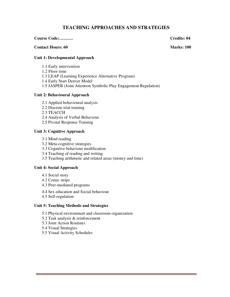# **TEACHING APPROACHES AND STRATEGIES**

#### **Course Code:………. Credits: 04**

#### **Contact Hours: 60 Marks: 100 Marks: 100 Marks: 100 Marks: 100 Marks: 100 Marks: 100 Marks: 100 Marks: 100 Marks: 100 Marks: 100 Marks: 100 Marks: 100 Marks: 100 Marks: 100 Marks: 100 Marks: 100 Marks: 100 Marks: 100 Marks**

# **Unit 1: Developmental Approach**

- 1.1 Early intervention
- 1.2 Floor time
- 1.3 LEAP (Learning Experience Alternative Program)
- 1.4 Early Start Denver Model
- 1.5 JASPER (Joint Attention Symbolic Play Engagement Regulation)

#### **Unit 2: Behavioural Approach**

- 2.1 Applied behavioural analysis
- 2.2 Discrete trial training
- 2.3 TEACCH
- 2.4 Analysis of Verbal Behaviour
- 2.5 Pivotal Response Training

#### **Unit 3: Cognitive Approach**

- 3.1 Mind reading
- 3.2 Meta-cognitive strategies
- 3.3 Cognitive behaviour modification
- 3.4 Teaching of reading and writing
- 3.5 Teaching arithmetic and related areas (money and time)

#### **Unit 4: Social Approach**

- 4.1 Social story
- 4.2 Comic strips
- 4.3 Peer-mediated programs
- 4.4 Sex education and Social behaviour
- 4.5 Self-regulation

#### **Unit 5: Teaching Methods and Strategies**

- 5.1 Physical environment and classroom organization
- 5.2 Task analysis & reinforcement
- 5.3 Joint Action Routines
- 5.4 Visual Strategies
- 5.5 Visual Activity Schedules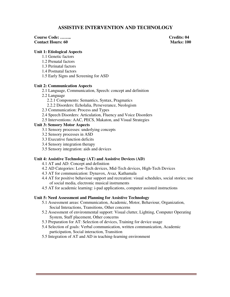# **ASSISTIVE INTERVENTION AND TECHNOLOGY**

# **Course Code: …….. Credits: 04 Contact Hours: 60** Marks: 100

#### **Unit 1: Etiological Aspects**

- 1.1 Genetic factors
- 1.2 Prenatal factors
- 1.3 Perinatal factors
- 1.4 Postnatal factors
- 1.5 Early Signs and Screening for ASD

## **Unit 2: Communication Aspects**

- 2.1 Language, Communication, Speech: concept and definition
- 2.2 Language
	- 2.2.1 Components: Semantics, Syntax, Pragmatics
	- 2.2.2 Disorders: Echolalia, Perseverance, Neologism
- 2.3 Communication: Process and Types
- 2.4 Speech Disorders: Articulation, Fluency and Voice Disorders
- 2.5 Interventions: AAC, PECS, Makaton, and Visual Strategies

# **Unit 3: Sensory Motor Aspects**

- 3.1 Sensory processes: underlying concepts
- 3.2 Sensory processes in ASD
- 3.3 Executive function deficits
- 3.4 Sensory integration therapy
- 3.5 Sensory integration: aids and devices

#### **Unit 4: Assistive Technology (AT) and Assistive Devices (AD)**

- 4.1 AT and AD: Concept and definition
- 4.2 AD Categories: Low-Tech devices, Mid-Tech devices, High-Tech Devices
- 4.3 AT for communication: Dynavox, Avaz, Kathamala
- 4.4 AT for positive behaviour support and recreation: visual schedules, social stories; use of social media, electronic musical instruments
- 4.5 AT for academic learning: i-pad applications, computer assisted instructions

#### **Unit 5: Need Assessment and Planning for Assistive Technology**

- 5.1 Assessment areas: Communication, Academic, Motor, Behaviour, Organization, Social Interactions, Transitions, Other concerns
- 5.2 Assessment of environmental support: Visual clutter, Lighting, Computer Operating System, Staff placement, Other concerns
- 5.3 Preparation for AT: Selection of devices, Training for device usage
- 5.4 Selection of goals: Verbal communication, written communication, Academic participation, Social interaction, Transition
- 5.5 Integration of AT and AD in teaching-learning environment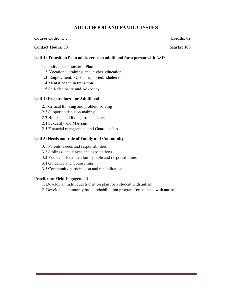# **ADULTHOOD AND FAMILY ISSUES**

# **Contact Hours: 30 Marks: 100**

# **Course Code: …….. Credits: 02**

# **Unit 1: Transition from adolescence to adulthood for a person with ASD**

- 1.1 Individual Transition Plan
- 1.2 Vocational training and higher education
- 1.3 Employment: Open, supported, sheltered
- 1.4 Mental health in transition
- 1.5 Self-disclosure and Advocacy

# **Unit 2: Preparedness for Adulthood**

- 2.1 Critical thinking and problem solving
- 2.2 Supported decision making
- 2.3 Housing and living arrangements
- 2.4 Sexuality and Marriage
- 2.5 Financial management and Guardianship

# **Unit 3: Needs and role of Family and Community**

- 3.1 Parents- needs and responsibilities
- 3.2 Siblings- challenges and expectations
- 3.3 Peers and Extended family- role and responsibilities
- 3.4 Guidance and Counselling
- 3.5 Community participation and rehabilitation

# **Practicum/ Field Engagement**

- 1. Develop an individual transition plan for a student with autism
- 2. Develop a community based rehabilitation program for students with autism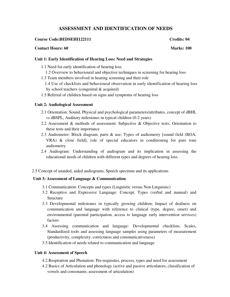# **ASSESSMENT AND IDENTIFICATION OF NEEDS**

#### **Course Code: BEDSEHI122111** Credits: 04

## **Contact Hours: 60 Marks: 100**

## **Unit 1: Early Identification of Hearing Loss: Need and Strategies**

- 1.1 Need for early identification of hearing loss
- 1.2 Overview to behavioural and objective techniques in screening for hearing loss
- 1.3 Team members involved in hearing screening and their role
	- 1.4 Use of checklists and behavioural observation in early identification of hearing loss by school teachers (congenital & acquired)
- 1.5 Referral of children based on signs and symptoms of hearing loss

#### **Unit 2: Audiological Assessment**

- 2.1 Orientation: Sound, Physical and psychological parameters/attributes, concept of dBHL *vs* dBSPL, Auditory milestones in typical children (0-2 years)
- 2.2 Assessment & methods of assessment: Subjective & Objective tests; Orientation to these tests and their importance
- 2.3 Audiometer: Block diagram, parts & use; Types of audiometry [sound field (BOA, VRA) & close field]; role of special educators in conditioning for pure tone audiometry
- 2.4 Audiogram: Understanding of audiogram and its implication in assessing the educational needs of children with different types and degrees of hearing loss.
- 2.5 Concept of unaided, aided audiograms, Speech spectrum and its applications

# **Unit 3: Assessment of Language & Communication**

- 3.1 Communication: Concepts and types (Linguistic versus Non Linguistic)
- 3.2 Receptive and Expressive Language: Concept, Types (verbal and manual) and Structure
- 3.3 Developmental milestones in typically growing children; Impact of deafness on communication and language with reference to clinical (type, degree, onset) and environmental (parental participation, access to language early intervention services) factors
- 3.4 Assessing communication and language: Developmental checklists, Scales, Standardized tools and assessing language samples using parameters of measurement (productivity, complexity, correctness and communicativeness)
- 3.5 Identification of needs related to communication and language

#### **Unit 4: Assessment of Speech**

- 4.2 Respiration and Phonation: Pre-requisites, process, types and need for assessment
- 4.2 Basics of Articulation and phonology (active and passive articulators; classification of vowels and consonants; assessment of articulation)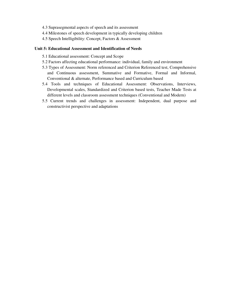- 4.3 Suprasegmental aspects of speech and its assessment
- 4.4 Milestones of speech development in typically developing children
- 4.5 Speech Intelligibility: Concept, Factors & Assessment

## **Unit 5: Educational Assessment and Identification of Needs**

- 5.1 Educational assessment: Concept and Scope
- 5.2 Factors affecting educational performance: individual, family and environment
- 5.3 Types of Assessment: Norm referenced and Criterion Referenced test, Comprehensive and Continuous assessment, Summative and Formative, Formal and Informal, Conventional & alternate, Performance based and Curriculum based
- 5.4 Tools and techniques of Educational Assessment: Observations, Interviews, Developmental scales, Standardized and Criterion based tests, Teacher Made Tests at different levels and classroom assessment techniques (Conventional and Modern)
- 5.5 Current trends and challenges in assessment: Independent, dual purpose and constructivist perspective and adaptations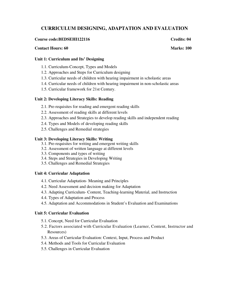# **CURRICULUM DESIGNING, ADAPTATION AND EVALUATION**

#### **Course code:BEDSEHI122116 Credits: 04 Credits: 04**

#### **Contact Hours: 60 Marks: 100**

#### **Unit 1: Curriculum and Its' Designing**

- 1.1. Curriculum-Concept, Types and Models
- 1.2. Approaches and Steps for Curriculum designing
- 1.3. Curricular needs of children with hearing impairment in scholastic areas
- 1.4. Curricular needs of children with hearing impairment in non-scholastic areas
- 1.5. Curricular framework for 21st Century.

### **Unit 2: Developing Literacy Skills: Reading**

- 2.1. Pre-requisites for reading and emergent reading skills
- 2.2. Assessment of reading skills at different levels
- 2.3. Approaches and Strategies to develop reading skills and independent reading
- 2.4. Types and Models of developing reading skills
- 2.5. Challenges and Remedial strategies

#### **Unit 3: Developing Literacy Skills: Writing**

- 3.1. Pre-requisites for writing and emergent writing skills
- 3.2. Assessment of written language at different levels
- 3.3. Components and types of writing
- 3.4. Steps and Strategies in Developing Writing
- 3.5. Challenges and Remedial Strategies

#### **Unit 4: Curricular Adaptation**

- 4.1. Curricular Adaptation- Meaning and Principles
- 4.2. Need Assessment and decision making for Adaptation
- 4.3. Adapting Curriculum- Content, Teaching-learning Material, and Instruction
- 4.4. Types of Adaptation and Process
- 4.5. Adaptation and Accommodations in Student's Evaluation and Examinations

#### **Unit 5: Curricular Evaluation**

- 5.1. Concept, Need for Curricular Evaluation
- 5.2. Factors associated with Curricular Evaluation (Learner, Content, Instructor and Resources)
- 5.3. Areas of Curricular Evaluation: Context, Input, Process and Product
- 5.4. Methods and Tools for Curricular Evaluation
- 5.5. Challenges in Curricular Evaluation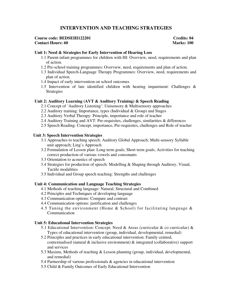# **INTERVENTION AND TEACHING STRATEGIES**

#### **Course code: BEDSEHI122201 Credits: 04 Contact Hours: 60** Marks: 100

#### **Unit 1: Need & Strategies for Early Intervention of Hearing Loss**

- 1.1 Parent-infant programmes for children with HI: Overview, need, requirements and plan of action.
- 1.2 Pre-school training programmes: Overview, need, requirements and plan of action.
- 1.3 Individual Speech-Language Therapy Programmes: Overview, need, requirements and plan of action.
- 1.4 Impact of early intervention on school outcomes
- 1.5 Intervention of late identified children with hearing impairment: Challenges & **Strategies**

#### **Unit 2: Auditory Learning (AVT & Auditory Training) & Speech Reading**

- 2.1 Concept of 'Auditory Listening': Unisensory & Multisensory approaches
- 2.2 Auditory training: Importance, types (Individual & Group) and Stages
- 2.3 Auditory Verbal Therapy: Principle, importance and role of teacher
- 2.4 Auditory Training and AVT: Pre-requisites, challenges, similarities & differences
- 2.5 Speech Reading: Concept, importance, Pre-requisites, challenges and Role of teacher

#### **Unit 3: Speech Intervention Strategies**

- 3.1 Approaches to teaching speech: Auditory Global Approach; Multi-sensory Syllable unit approach; Ling's Approach
- 3.2 Formulation of Lesson plan: Long term goals; Short term goals; Activities for teaching correct production of various vowels and consonants
- 3.3 Orientation to acoustics of speech
- 3.4 Strategies for production of speech: Modelling & Shaping through Auditory, Visual, Tactile modalities
- 3.5 Individual and Group speech teaching: Strengths and challenges

#### **Unit 4: Communication and Language Teaching Strategies**

- 4.1 Methods of teaching language: Natural, Structural and Combined
- 4.2 Principles and Techniques of developing language
- 4.3 Communication options: Compare and contrast
- 4.4 Communication options: justification and challenges
- 4.5 Tuning the environment (Home & School) for facilitating language & Communication

#### **Unit 5: Educational Intervention Strategies**

- 5.1 Educational Intervention: Concept, Need & Areas (curricular & co curricular) & Types of educational intervention (group, individual, developmental, remedial)
- 5.2 Principles and practices in early educational intervention: Family centred, contextualised (natural & inclusive environment) & integrated (collaborative) support and services
- 5.3 Maxims, Methods of teaching & Lesson planning (group, individual, developmental, and remedial)
- 5.4 Partnership of various professionals & agencies in educational intervention
- 5.5 Child & Family Outcomes of Early Educational Intervention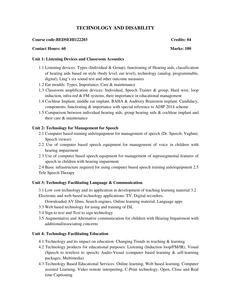# **TECHNOLOGY AND DISABILITY**

#### **Course code:BEDSEHI122203 Credits: 04**

#### **Contact Hours: 60** Marks: 100

#### **Unit 1: Listening Devices and Classroom Acoustics**

- 1.1 Listening devices: Types (Individual & Group), functioning of Hearing aids, classification of hearing aids based on style (body level, ear level), technology (analog, programmable, digital), Ling's six sound test and other outcome measures
- 1.2 Ear moulds: Types, Importance, Care & maintenance
- 1.3 Classroom amplification devices: Individual, Speech Trainer & group, Hard wire, loop induction, infra-red  $&$  FM systems, their importance in educational management
- 1.4 Cochlear Implant, middle ear implant, BAHA & Auditory Brainstem implant: Candidacy, components, functioning & importance with special reference to ADIP 2014 scheme
- 1.5 Comparison between individual hearing aids, group hearing aids & cochlear implant and their care  $\&$  maintenance

#### **Unit 2: Technology for Management for Speech**

- 2.1 Computer based training aids/equipment for management of speech (Dr. Speech; Vaghmi; Speech viewer)
- 2.2 Use of computer based speech equipment for management of voice in children with hearing impairment
- 2.3 Use of computer based speech equipment for management of suprasegmental features of speech in children with hearing impairment

2.4 Basic infrastructure required for using computer based speech training aids/equipment 2.5 Tele Speech Therapy

#### **Unit 3: Technology Facilitating Language & Communication**

3.1 Low cost technology and its application in development of teaching learning material 3.2 Electronic and web-based technology applications: TV, Digital recorders,

Downloaded AV films, Search engines, Online learning material, Language apps

- 3.3 Web based technology for using and training of ISL
- 3.4 Sign to text and Text to sign technology
- 3.5 Augmentative and Alternative communication for children with Hearing Impairment with additional/associating concerns

#### **Unit 4: Technology Facilitating Education**

- 4.1 Technology and its impact on education: Changing Trends in teaching & learning
- 4.2 Technology products for educational purposes: Listening (Induction loop/FM/IR), Visual (Speech to text/text to speech) Audio-Visual (computer based learning & self-learning packages, Multimedia)
- 4.3 Technology Based Educational Services: Online learning, Web based learning, Computer assisted Learning, Video remote interpreting, C-Print technology, Open, Close and Real time Captioning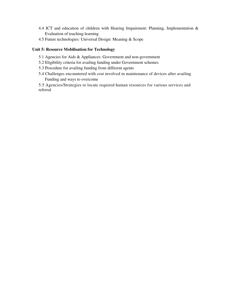- 4.4 ICT and education of children with Hearing Impairment: Planning, Implementation & Evaluation of teaching-learning
- 4.5 Future technologies: Universal Design: Meaning & Scope

## **Unit 5: Resource Mobilisation for Technology**

- 5.1 Agencies for Aids & Appliances: Government and non-government
- 5.2 Eligibility criteria for availing funding under Government schemes
- 5.3 Procedure for availing funding from different agents
- 5.4 Challenges encountered with cost involved in maintenance of devices after availing Funding and ways to overcome

5.5 Agencies/Strategies to locate required human resources for various services and referral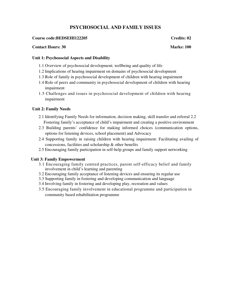# **PSYCHOSOCIAL AND FAMILY ISSUES**

#### **Course code:BEDSEHI122205 Credits: 02**

#### **Contact Hours: 30 Marks: 100**

## **Unit 1: Psychosocial Aspects and Disability**

- 1.1 Overview of psychosocial development; wellbeing and quality of life
- 1.2 Implications of hearing impairment on domains of psychosocial development
- 1.3 Role of family in psychosocial development of children with hearing impairment
- 1.4 Role of peers and community in psychosocial development of children with hearing impairment
- 1.5 Challenges and issues in psychosocial development of children with hearing impairment

# **Unit 2: Family Needs**

- 2.1 Identifying Family Needs for information, decision making, skill transfer and referral 2.2 Fostering family's acceptance of child's impairment and creating a positive environment
- 2.3 Building parents' confidence for making informed choices (communication options, options for listening devices, school placement) and Advocacy
- 2.4 Supporting family in raising children with hearing impairment: Facilitating availing of concessions, facilities and scholarship & other benefits
- 2.5 Encouraging family participation in self-help groups and family support networking

# **Unit 3: Family Empowerment**

- 3.1 Encouraging family centred practices, parent self-efficacy belief and family involvement in child's learning and parenting
- 3.2 Encouraging family acceptance of listening devices and ensuring its regular use
- 3.3 Supporting family in fostering and developing communication and language
- 3.4 Involving family in fostering and developing play, recreation and values
- 3.5 Encouraging family involvement in educational programme and participation in community based rehabilitation programme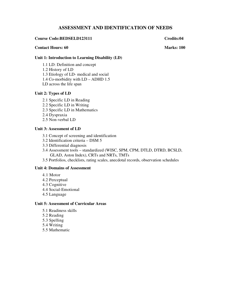# **ASSESSMENT AND IDENTIFICATION OF NEEDS**

#### **Course Code:BEDSELD123111 Credits:04**

#### **Contact Hours: 60 Marks: 100**

# **Unit 1: Introduction to Learning Disability (LD)**

- 1.1 LD: Definition and concept
- 1.2 History of LD
- 1.3 Etiology of LD- medical and social
- 1.4 Co-morbidity with LD ADHD 1.5
- LD across the life span

#### **Unit 2: Types of LD**

- 2.1 Specific LD in Reading
- 2.2 Specific LD in Writing
- 2.3 Specific LD in Mathematics
- 2.4 Dyspraxia
- 2.5 Non-verbal LD

## **Unit 3: Assessment of LD**

- 3.1 Concept of screening and identification
- 3.2 Identification criteria DSM 5
- 3.3 Differential diagnosis
- 3.4 Assessment tools standardized (WISC, SPM, CPM, DTLD, DTRD, BCSLD, GLAD, Aston Index), CRTs and NRTs, TMTs
- 3.5 Portfolios, checklists, rating scales, anecdotal records, observation schedules

# **Unit 4: Domains of Assessment**

- 4.1 Motor
- 4.2 Perceptual
- 4.3 Cognitive
- 4.4 Social-Emotional
- 4.5 Language

## **Unit 5: Assessment of Curricular Areas**

- 5.1 Readiness skills
- 5.2 Reading
- 5.3 Spelling
- 5.4 Writing
- 5.5 Mathematic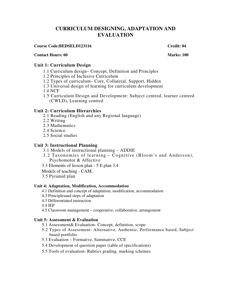# **CURRICULUM DESIGNING, ADAPTATION AND EVALUATION**

## **Course Code:BEDSELD123116 Credit: 04 Credit: 04**

## **Contact Hours: 60** Marks: 100

# **Unit 1: Curriculum Design**

- 1.1 Curriculum design– Concept, Definition and Principles
- 1.2 Principles of Inclusive Curriculum
- 1.2 Types of curriculum– Core, Collateral, Support, Hidden
- 1.3 Universal design of learning for curriculum development
- 1.4 NCF
- 1.5 Curriculum Design and Development: Subject centred, learner centred (CWLD), Learning centred

# **Unit 2: Curriculum Hierarchies**

- 2.1 Reading (English and any Regional language)
- 2.2 Writing
- 2.3 Mathematics
- 2.4 Science
- 2.5 Social studies

# **Unit 3: Instructional Planning**

- 3.1 Models of instructional planning ADDIE
- 3.2 Taxonomies of learning Cognitive (Bloom's and Anderson), Psychomotor & Affective
- 3.3 Elements of lesson plan 5 E plan 3.4
- Models of teaching CAM,
- 3.5 Pyramid plan

# **Unit 4: Adaptation, Modification, Accommodation**

- 4.1 Definition and concept of adaptation, modification, accommodation
- 4.2 Principlesand steps of adaptation
- 4.3 Differentiated instruction
- 4.4 IEP
- 4.5 Classroom management cooperative, collaborative, arrangement

# **Unit 5: Assessment & Evaluation**

- 5.1 Assessment& Evaluation- Concept, definition, scope
- 5.2 Types of Assessment- Alternative, Authentic, Performance based, Subject based portfolio
- 5.3 Evaluation Formative, Summative, CCE
- 5.4 Development of question paper (table of specifications)
- 5.5 Tools of evaluation- Rubrics grading, marking schemes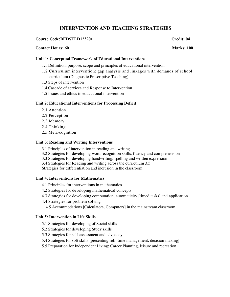# **INTERVENTION AND TEACHING STRATEGIES**

## **Course Code:BEDSELD123201** Credit: 04

#### **Contact Hours: 60 Marks: 100** Marks: 100

#### **Unit 1: Conceptual Framework of Educational Interventions**

- 1.1 Definition, purpose, scope and principles of educational intervention
- 1.2 Curriculum intervention: gap analysis and linkages with demands of school curriculum (Diagnostic Prescriptive Teaching)
- 1.3 Steps of intervention
- 1.4 Cascade of services and Response to Intervention
- 1.5 Issues and ethics in educational intervention

#### **Unit 2: Educational Interventions for Processing Deficit**

- 2.1 Attention
- 2.2 Perception
- 2.3 Memory
- 2.4 Thinking
- 2.5 Meta-cognition

#### **Unit 3: Reading and Writing Interventions**

- 3.1 Principles of intervention in reading and writing
- 3.2 Strategies for developing word recognition skills, fluency and comprehension
- 3.3 Strategies for developing handwriting, spelling and written expression
- 3.4 Strategies for Reading and writing across the curriculum 3.5

Strategies for differentiation and inclusion in the classroom

## **Unit 4: Interventions for Mathematics**

- 4.1 Principles for interventions in mathematics
- 4.2 Strategies for developing mathematical concepts
- 4.3 Strategies for developing computation, automaticity [timed tasks] and application
- 4.4 Strategies for problem solving
	- 4.5 Accommodations [Calculators, Computers] in the mainstream classroom

#### **Unit 5: Intervention in Life Skills**

- 5.1 Strategies for developing of Social skills
- 5.2 Strategies for developing Study skills
- 5.3 Strategies for self-assessment and advocacy
- 5.4 Strategies for soft skills [presenting self, time management, decision making]
- 5.5 Preparation for Independent Living; Career Planning, leisure and recreation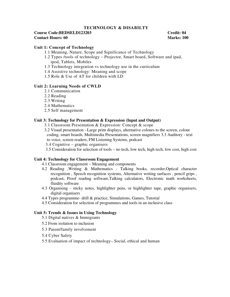### **TECHNOLOGY & DISABILTY**

#### **Course Code:BEDSELD123203 Credit: 04 Contact Hours: 60 Marks: 100** Marks: 100

## **Unit 1: Concept of Technology**

- 1.1 Meaning, Nature, Scope and Significance of Technology
- 1.2 Types /tools of technology Projector, Smart board, Software and ipad, ipod, Tablets, Mobiles
- 1.3 Technology integration vs technology use in the curriculum
- 1.4 Assistive technology: Meaning and scope
- 1.5 Role & Use of AT for children with LD

#### **Unit 2: Learning Needs of CWLD**

- 2.1 Communication
- 2.2 Reading
- 2.3 Writing
- 2.4 Mathematics
- 2.5 Self management

## **Unit 3: Technology for Presentation & Expression (Input and Output)**

- 3.1 Classroom Presentation & Expression: Concept & scope
- 3.2 Visual presentation Large print displays, alternative colours to the screen, colour coding, smart boards, Multimedia Presentations, screen magnifiers 3.3 Auditory - text to voice, screen readers, FM Listening Systems, podcast
- 3.4 Cognitive graphic organisers
- 3.5 Consideration for selection of tools no tech, low tech, high tech, low cost, high cost

#### **Unit 4: Technology for Classroom Engagement**

- 4.1 Classroom engagement Meaning and components
- 4.2 Reading ,Writing & Mathematics Talking books, recorder,Optical character recognition , Speech recognition systems, Alternative writing surfaces , pencil grips , podcast, Proof reading software,Talking calculators, Electronic math worksheets, fluidity software
- 4.3 Organising sticky notes, highlighter pens, or highlighter tape, graphic organisers, digital organisers
- 4.4 Types programme- drill & practice, Simulations, Games, Tutorial
- 4.5 Consideration for selection of programmes and tools in an inclusive class

#### **Unit 5: Trends & Issues in Using Technology**

- 5.1 Digital natives & Immigrants
- 5.2 From isolation to inclusion
- 5.3 Parent/family involvement
- 5.4 Cyber Safety
- 5.5 Evaluation of impact of technology– Social, ethical and human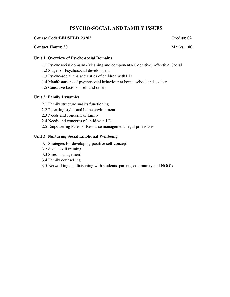# **PSYCHO-SOCIAL AND FAMILY ISSUES**

## **Course Code:BEDSELD123205 Credits: 02**

#### **Contact Hours: 30 Marks: 100**

## **Unit 1: Overview of Psycho-social Domains**

- 1.1 Psychosocial domains- Meaning and components- Cognitive, Affective, Social
- 1.2 Stages of Psychosocial development
- 1.3 Psycho-social characteristics of children with LD
- 1.4 Manifestations of psychosocial behaviour at home, school and society
- 1.5 Causative factors self and others

## **Unit 2: Family Dynamics**

- 2.1 Family structure and its functioning
- 2.2 Parenting styles and home environment
- 2.3 Needs and concerns of family
- 2.4 Needs and concerns of child with LD
- 2.5 Empowering Parents- Resource management, legal provisions

## **Unit 3: Nurturing Social Emotional Wellbeing**

- 3.1 Strategies for developing positive self-concept
- 3.2 Social skill training
- 3.3 Stress management
- 3.4 Family counselling
- 3.5 Networking and liaisoning with students, parents, community and NGO's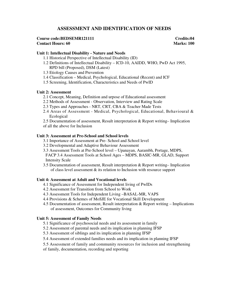# **ASSESSMENT AND IDENTIFICATION OF NEEDS**

#### **Course code:BEDSEMR121111** Credits:04 **Contact Hours: 60** Marks: 100

## **Unit 1: Intellectual Disability - Nature and Needs**

- 1.1 Historical Perspective of Intellectual Disability (ID)
- 1.2 Definitions of Intellectual Disability ICD-10, AAIDD, WHO, PwD Act 1995, RPD bill (Proposed), DSM (Latest)
- 1.3 Etiology Causes and Prevention
- 1.4 Classification Medical, Psychological, Educational (Recent) and ICF
- 1.5 Screening, Identification, Characteristics and Needs of PwID

#### **Unit 2: Assessment**

- 2.1 Concept, Meaning, Definition and urpose of Educational assessment
- 2.2 Methods of Assessment Observation, Interview and Rating Scale
- 2.3 Types and Approaches NRT, CRT, CBA & Teacher Made Tests
- 2.4 Areas of Assessment Medical, Psychological, Educational, Behavioural & Ecological
- 2.5 Documentation of assessment, Result interpretation & Report writing– Implication of all the above for Inclusion

#### **Unit 3: Assessment at Pre-School and School levels**

- 3.1 Importance of Assessment at Pre- School and School level
- 3.2 Developmental and Adaptive Behaviour Assessment
- 3.3 Assessment Tools at Pre-School level Upanayan, Aarambh, Portage, MDPS, FACP 3.4 Assessment Tools at School Ages – MDPS, BASIC-MR, GLAD, Support Intensity Scale
- 3.5 Documentation of assessment, Result interpretation & Report writing– Implication of class level assessment & its relation to Inclusion with resource support

#### **Unit 4: Assessment at Adult and Vocational levels**

- 4.1 Significance of Assessment for Independent living of PwIDs
- 4.2 Assessment for Transition from School to Work
- 4.3 Assessment Tools for Independent Living –BASAL-MR, VAPS
- 4.4 Provisions & Schemes of MoSJE for Vocational Skill Development
- 4.5 Documentation of assessment, Result interpretation & Report writing Implications of assessment, Outcomes for Community living

#### **Unit 5: Assessment of Family Needs**

- 5.1 Significance of psychosocial needs and its assessment in family
- 5.2 Assessment of parental needs and its implication in planning IFSP
- 5.3 Assessment of siblings and its implication in planning IFSP
- 5.4 Assessment of extended families needs and its implication in planning IFSP
- 5.5 Assessment of family and community resources for inclusion and strengthening
- of family, documentation, recording and reporting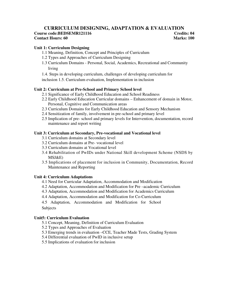# **CURRICULUM DESIGNING, ADAPTATION & EVALUATION Course code:BEDSEMR121116 Credits: 04 Credits: 04 Contact Hours: 60** Marks: 100

## **Unit 1: Curriculum Designing**

- 1.1 Meaning, Definition, Concept and Principles of Curriculum
- 1.2 Types and Approaches of Curriculum Designing
- 1.3 Curriculum Domains Personal, Social, Academics, Recreational and Community living
- 1.4. Steps in developing curriculum, challenges of developing curriculum for

inclusion 1.5. Curriculum evaluation, Implementation in inclusion

## **Unit 2: Curriculum at Pre-School and Primary School level**

- 2.1 Significance of Early Childhood Education and School Readiness
- 2.2 Early Childhood Education Curricular domains Enhancement of domain in Motor, Personal, Cognitive and Communication areas
- 2.3 Curriculum Domains for Early Childhood Education and Sensory Mechanism
- 2.4 Sensitization of family, involvement in pre-school and primary level
- 2.5 Implication of pre- school and primary levels for Intervention, documentation, record maintenance and report writing

## **Unit 3: Curriculum at Secondary, Pre-vocational and Vocational level**

- 3.1 Curriculum domains at Secondary level
- 3.2 Curriculum domains at Pre- vocational level
- 3.3 Curriculum domains at Vocational level
- 3.4 Rehabilitation of PwIDs under National Skill development Scheme (NSDS by MSJ&E)
- 3.5 Implications of placement for inclusion in Community, Documentation, Record Maintenance and Reporting

# **Unit 4: Curriculum Adaptations**

- 4.1 Need for Curricular Adaptation, Accommodation and Modification
- 4.2 Adaptation, Accommodation and Modification for Pre –academic Curriculum
- 4.3 Adaptation, Accommodation and Modification for Academics Curriculum
- 4.4 Adaptation, Accommodation and Modification for Co-Curriculum

4.5 Adaptation, Accommodation and Modification for School Subjects

#### **Unit5: Curriculum Evaluation**

- 5.1 Concept, Meaning, Definition of Curriculum Evaluation
- 5.2 Types and Approaches of Evaluation
- 5.3 Emerging trends in evaluation –CCE, Teacher Made Tests, Grading System
- 5.4 Differential evaluation of PwID in inclusive setup
- 5.5 Implications of evaluation for inclusion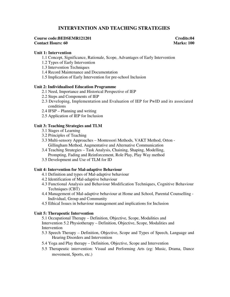# **INTERVENTION AND TEACHING STRATEGIES**

#### **Course code:BEDSEMR121201 Credits:04 Contact Hours: 60** Marks: 100

#### **Unit 1: Intervention**

- 1.1 Concept, Significance, Rationale, Scope, Advantages of Early Intervention
- 1.2 Types of Early Intervention
- 1.3 Intervention Techniques
- 1.4 Record Maintenance and Documentation
- 1.5 Implication of Early Intervention for pre-school Inclusion

#### **Unit 2: Individualised Education Programme**

- 2.1 Need, Importance and Historical Perspective of IEP
- 2.2 Steps and Components of IEP
- 2.3 Developing, Implementation and Evaluation of IEP for PwID and its associated conditions
- 2.4 IFSP Planning and writing
- 2.5 Application of IEP for Inclusion

## **Unit 3: Teaching Strategies and TLM**

- 3.1 Stages of Learning
- 3.2 Principles of Teaching
- 3.3 Multi-sensory Approaches Montessori Methods, VAKT Method, Orton Gillingham Method, Augmentative and Alternative Communication
- 3.4 Teaching Strategies Task Analysis, Chaining, Shaping, Modelling, Prompting, Fading and Reinforcement, Role Play, Play Way method
- 3.5 Development and Use of TLM for ID

#### **Unit 4: Intervention for Mal-adaptive Behaviour**

- 4.1 Definition and types of Mal-adaptive behaviour
- 4.2 Identification of Mal-adaptive behaviour
- 4.3 Functional Analysis and Behaviour Modification Techniques, Cognitive Behaviour Techniques (CBT)
- 4.4 Management of Mal-adaptive behaviour at Home and School, Parental Counselling Individual, Group and Community
- 4.5 Ethical Issues in behaviour management and implications for Inclusion

#### **Unit 5: Therapeutic Intervention**

5.1 Occupational Therapy – Definition, Objective, Scope, Modalities and Intervention 5.2 Physiotherapy – Definition, Objective, Scope, Modalities and Intervention

- 5.3 Speech Therapy Definition, Objective, Scope and Types of Speech, Language and Hearing Disorders and Intervention
- 5.4 Yoga and Play therapy Definition, Objective, Scope and Intervention
- 5.5 Therapeutic intervention: Visual and Performing Arts (eg: Music, Drama, Dance movement, Sports, etc.)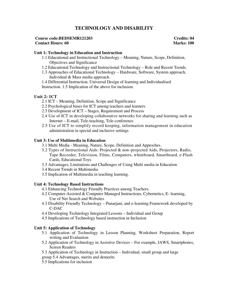# **TECHNOLOGY AND DISABILITY**

## **Course code:BEDSEMR121203 Credits: 04 Contact Hours: 60** Marks: 100

## **Unit 1: Technology in Education and Instruction**

- 1.1 Educational and Instructional Technology Meaning, Nature, Scope, Definition, Objectives and Significance
- 1.2 Educational Technology and Instructional Technology Role and Recent Trends.
- 1.3 Approaches of Educational Technology Hardware, Software, System approach, Individual & Mass media approach.
- 1.4 Differential Instruction, Universal Design of learning and Individualised

Instruction. 1.5 Implication of the above for inclusion.

## **Unit 2: ICT**

- 2.1 ICT Meaning, Definition, Scope and Significance
- 2.2 Psychological bases for ICT among teachers and learners
- 2.3 Development of ICT Stages, Requirement and Process
- 2.4 Use of ICT in developing collaborative networks for sharing and learning such as Internet – E-mail, Tele-teaching, Tele-conference
- 2.5 Use of ICT to simplify record keeping, information management in education administration in special and inclusive settings

## **Unit 3: Use of Multimedia in Education**

- 3.1 Multi Media Meaning, Nature, Scope, Definition and Approches.
- 3.2 Types of Instructional Aids: Projected & non–projected Aids, Projectors, Radio, Tape Recorder, Television, Films, Computers, whiteboard, Smartboard, e-Flash Cards, Educational Toys
- 3.3 Advantages, Limitations and Challenges of Using Multi media in Education
- 3.4 Recent Trends in Multimedia
- 3.5 Implication of Multimedia in teaching learning.

#### **Unit 4: Technology Based Instructions**

- 4.1 Enhancing Technology Friendly Practices among Teachers.
- 4.2 Computer-Assisted & Computer Managed Instructions, Cybernetics, E- learning, Use of Net Search and Websites
- 4.3 Disability Friendly Technology Punarjani, and e-learning Framework developed by C-DAC
- 4.4 Developing Technology Integrated Lessons Individual and Group
- 4.5 Implications of Technology based instruction in Inclusion

#### **Unit 5: Application of Technology**

- 5.1 Application of Technology in Lesson Planning, Worksheet Preparation, Report writing and Evaluation
- 5.2 Application of Technology in Assistive Devices For example, JAWS, Smartphones, Screen Readers
- 5.3 Application of Technology in Instruction Individual, small group and large group 5.4 Advantages, merits and demerits
- 
- 5.5 Implications for inclusion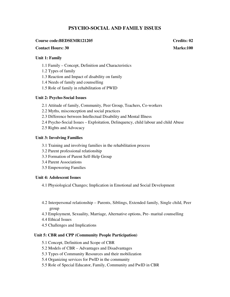# **PSYCHO-SOCIAL AND FAMILY ISSUES**

#### **Course code:BEDSEMR121205 Credits: 02**

#### **Contact Hours: 30 Marks:100**

#### **Unit 1: Family**

- 1.1 Family Concept, Definition and Characteristics
- 1.2 Types of family
- 1.3 Reaction and Impact of disability on family
- 1.4 Needs of family and counselling
- 1.5 Role of family in rehabilitation of PWID

#### **Unit 2: Psycho-Social Issues**

- 2.1 Attitude of family, Community, Peer Group, Teachers, Co-workers
- 2.2 Myths, misconception and social practices
- 2.3 Difference between Intellectual Disability and Mental Illness
- 2.4 Psycho-Social Issues Exploitation, Delinquency, child labour and child Abuse
- 2.5 Rights and Advocacy

#### **Unit 3: Involving Families**

- 3.1 Training and involving families in the rehabilitation process
- 3.2 Parent professional relationship
- 3.3 Formation of Parent Self-Help Group
- 3.4 Parent Associations
- 3.5 Empowering Families

#### **Unit 4: Adolescent Issues**

4.1 Physiological Changes; Implication in Emotional and Social Development

- 4.2 Interpersonal relationship Parents, Siblings, Extended family, Single child, Peer group
- 4.3 Employment, Sexuality, Marriage, Alternative options, Pre- marital counselling
- 4.4 Ethical Issues
- 4.5 Challenges and Implications

### **Unit 5: CBR and CPP (Community People Participation)**

- 5.1 Concept, Definition and Scope of CBR
- 5.2 Models of CBR Advantages and Disadvantages
- 5.3 Types of Community Resources and their mobilization
- 5.4 Organizing services for PwID in the community
- 5.5 Role of Special Educator, Family, Community and PwID in CBR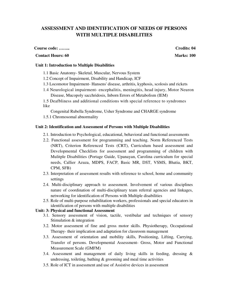# **ASSESSMENT AND IDENTIFICATION OF NEEDS OF PERSONS WITH MULTIPLE DISABILITIES**

#### **Course code: …….. Credits: 04**

## **Contact Hours: 60** Marks: 100

#### **Unit 1: Introduction to Multiple Disabilities**

- 1.1 Basic Anatomy- Skeletal, Muscular, Nervous System
- 1.2 Concept of Impairment, Disability and Handicap, ICF
- 1.3 Locomotor Impairment- Hansens' disease, arthritis, kyphosis, scolosis and rickets
- 1.4 Neurological impairment- encephalitis, meningitis, head injury, Motor Neuron Disease, Mucopoly sacchridosis, Inborn Errors of Metabolism (IEM)
- 1.5 Deafbliness and additional conditions with special reference to syndromes like

Congenital Rubella Syndrome, Usher Syndrome and CHARGE syndrome

1.5.1 Chromosomal abnormality

#### **Unit 2: Identification and Assessment of Persons with Multiple Disabilities**

- 2.1. Introduction to Psychological, educational, behavioral and functional assessments
- 2.2. Functional assessment for programming and teaching. Norm Referenced Tests (NRT), Criterion Referenced Tests (CRT), Curriculum based assessment and Developmental Checklists for assessment and programming of children with Mulitple Disabilities (Portage Guide, Upanayan, Carolina curriculum for special needs, Callier Azuza, MDPS, FACP, Basic MR, DST, VSMS, Bhatia, BKT, CPM, SFB)
- 2.3. Interpretation of assessment results with reference to school, home and community settings
- 2.4. Multi-disciplinary approach to assessment. Involvement of various disciplines nature of coordination of multi-disciplinary team referral agencies and linkages, networking for identification of Persons with Multiple disabilities
- 2.5. Role of multi-purpose rehabilitation workers, professionals and special educators in identification of persons with multiple disabilities

# **Unit: 3: Physical and functional Assessment**

- 3.1. Sensory assessment of vision, tactile, vestibular and techniques of sensory Stimulation & integration
- 3.2. Motor assessment of fine and gross motor skills. Physiotherapy, Occupational Therapy- their implication and adaptation for classroom management
- 3.3. Assessment of orientation and mobility skills, Positioning, Lifting, Carrying, Transfer of persons. Developmental Assessment- Gross, Motor and Functional Measurement Scale (GMFM)
- 3.4. Assessment and management of daily living skills in feeding, dressing & undressing, toileting, bathing & grooming and meal time activities
- 3.5. Role of ICT in assessment and use of Assistive devices in assessment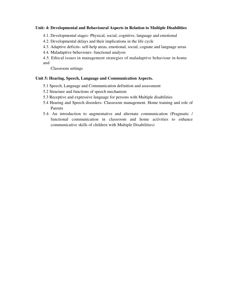#### **Unit: 4: Developmental and Behavioural Aspects in Relation to Multiple Disabilities**

- 4.1. Developmental stages- Physical, social, cognitive, language and emotional
- 4.2. Developmental delays and their implications in the life cycle
- 4.3. Adaptive deficits- self-help areas, emotional, social, cognate and language areas
- 4.4. Maladaptive behaviours- functional analysis
- 4.5. Ethical issues in management strategies of maladaptive behaviour in-home and

Classroom settings

#### **Unit 5: Hearing, Speech, Language and Communication Aspects.**

- 5.1 Speech, Language and Communication definition and assessment
- 5.2 Structure and functions of speech mechanism
- 5.3 Receptive and expressive language for persons with Multiple disabilities
- 5.4 Hearing and Speech disorders- Classroom management. Home training and role of Parents
- 5.4. An introduction to augmentative and alternate communication (Pragmatic / functional communication in classroom and home activities to enhance communicative skills of children with Multiple Disabilities)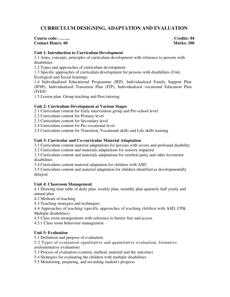# **CURRICULUM DESIGNING, ADAPTATION AND EVALUATION**

#### **Course code: …….. Credits: 04 Contact Hours: 60** Marks: 100

## **Unit 1: Introduction to Curriculum Development**

1.1 Aims, concepts, principles of curriculum development with reference to persons with disabilities

1.2 Types and approaches of curriculum development

1.3 Specific approaches of curriculum development for persons with disabilities (Unit, Ecological and Social learning)

1.4 Individualized Educational Programme (IEP), Individualized Family Support Plan (IFSP), Individualized Transition Plan (ITP), Individualized vocational Education Plan (IVEP)

1.5 Lesson plan. Group teaching and Peer tutoring

# **Unit 2: Curriculum Development at Various Stages**

2.1 Curriculum content for Early intervention group and Pre-school level

- 2.2 Curriculum content for Primary level
- 2.3 Curriculum content for Secondary level
- 2.4 Curriculum content for Pre-vocational level

2.5 Curriculum content for Transition, Vocational skills and Life skills training

## **Unit 3: Curricular and Co-curricular Material Adaptation**

3.1 Curriculum content material adaptations for persons with severe and profound disability

3.2 Curriculum content and materials adaptations for sensory impaired

3.3 Curriculum content and materials adaptations for cerebral palsy and other locomotor disabilities

3.4 Curriculum content material adaptation for children with ASD

3.5 Curriculum content and material adaptation for children identified as developmentally delayed.

# **Unit 4: Classroom Management**

4.1 Drawing time table of daily plan, weekly plan, monthly plan quarterly half yearly and annual plan

4.2 Methods of teaching

4.3 Teaching strategies and techniques

4.4 Approaches of teaching (specific approaches of teaching children with ASD, CP& Multiple disabilities)

4.5 Class room arrangements with reference to barrier free and access

4.5.1 Class room behaviour management

# **Unit 5: Evaluation**

5.1 Definition and purpose of evaluation

5.2 Types of evaluation (qualitative and quantitative evaluation, formative andsummative evaluation)

5.3 Process of evaluation (content, method, material and the outcome)

5.4 Strategies for evaluating the children with multiple disabilities

5.5 Monitoring, preparing, and recording student's progress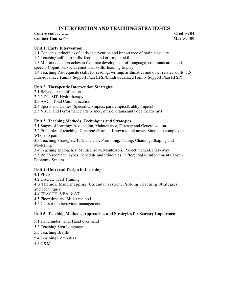# **INTERVENTION AND TEACHING STRATEGIES**

## **Course code: …….. Credits: 04 Contact Hours: 60** Marks: 100

# **Unit 1: Early Intervention**

1.1 Concepts, principles of early intervention and importance of brain plasticity

1.2 Teaching self help skills, feeding and oro-motor skills

1.3 Multimodal approaches to facilitate development of Language, communication and speech, Cognition, social emotional skills, learning to play.

1.4 Teaching Pre-requisite skills for reading, writing, arithmatics and other related skills. 1.5 Individualized Family Support Plan (IFSP), Individualized Family Support Plan (IFSP)

# **Unit 2: Therapeutic Intervention Strategies**

2.1 Behaviour modification

2.2 NDT, SIT, Hydrotherapy

2.3 AAC - Total Communication

2.4 Sports and Games (Special Olympics, paralympics& abhylimpics)

2.5 Visual and Performance arts (dance, music, drama and yoga theatre art)

## **Unit 3: Teaching Methods, Techniques and Strategies**

3.1 Stages of learning: Acquisition, Maintenance, Fluency and Generalization

3.2 Principles of teaching: Concrete-abstract, Known to unknown, Simple to complex and Whole to part

3.3 Teaching Strategies, Task analysis, Prompting, Fading, Chaining, Shaping and Modelling

3.4 Teaching approaches: Multisensory, Montessori, Project method, Play-Way 3.5 Reinforcement: Types, Schedule and Principles, Differential Reinforcements Token Economy System

# **Unit 4: Universal Design in Learning**

4.1 PECS

4.2 Discrete Trail Training

4.3 Themes, Mind mapping, Calendar system, Probing Teaching Strategies andTechniques

4.4 TEACCH, VBA & AT

4.5 Floor time and Miller method.

4.5 Class room behaviour management

# **Unit 5: Teaching Methods, Approaches and Strategies for Sensory Impairment**

5.1 Hand under hand, Hand over hand

5.2 Teaching Sign Language

5.3 Teaching Braille

5.4 Teaching Computers

5.5 O&M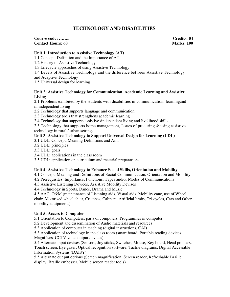# **TECHNOLOGY AND DISABILITIES**

**Course code:** …….. Course code: ……. Credits: 04 **Credits: 04 Credits: 04 Contact Hours: 60 Contact Hours: 60** 

## **Unit 1: Introduction to Assistive Technology (AT)**

1.1 Concept, Definition and the Importance of AT

1.2 History of Assistive Technology

1.3 Lifecycle approaches of using Assistive Technology

1.4 Levels of Assistive Technology and the difference between Assistive Technology

and Adaptive Technology

1.5 Universal design for learning

## **Unit 2: Assistive Technology for Communication, Academic Learning and Assistive Living**

2.1 Problems exhibited by the students with disabilities in communication, learningand in independent living

2.2 Technology that supports language and communication

2.3 Technology tools that strengthens academic learning

2.4 Technology that supports assistive /independent living and livelihood skills

2.5 Technology that supports home management, Issues of procuring & using assistive technology in rural / urban settings

# **Unit 3: Assistive Technology to Support Universal Design for Learning (UDL)**

3.1 UDL: Concept, Meaning Definitions and Aim

3.2 UDL: principles

3.3 UDL: goals

3.4 UDL: applications in the class room

3.5 UDL: application on curriculum and material preparations

# **Unit 4: Assistive Technology to Enhance Social Skills, Orientation and Mobility**

4.1 Concept, Meaning and Definitions of Social Communication, Orientation and Mobility

4.2 Prerequisites, Importance, Functions, Types and/or Modes of Communications

4.3 Assistive Listening Devices, Assistive Mobility Devises

4.4 Technology in Sports, Dance, Drama and Music

4.5 AAC, O&M (maintenance of Listening aids, Visual aids, Mobility cane, use of Wheel chair, Motorized wheel chair, Crutches, Calipers, Artificial limbs, Tri-cycles, Cars and Other mobility equipments)

# **Unit 5: Access to Computer**

5.1 Orientation to Computers, parts of computers, Programmes in computer

5.2 Development and dissemination of Audio materials and resources

5.3 Application of computer in teaching (digital instructions, CAI)

5.3 Application of technology in the class room (smart board, Portable reading devices, Magnifiers, CCTV voice output devices)

5.4 Alternate input devises (Sensors, Joy sticks, Switches, Mouse, Key board, Head pointers, Touch screen, Eye gazer, Optical recognition software, Tactile diagrams, Digital Accessible Information Systems (DAISY)

5.5 Alternate out put options (Screen magnification, Screen reader, Refreshable Braille display, Braille embosser, Mobile screen reader tools)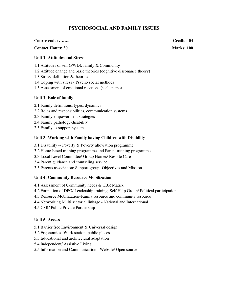# **PSYCHOSOCIAL AND FAMILY ISSUES**

## **Course code: …….. Credits: 04**

# **Contact Hours: 30 Marks: 100 Marks: 100 Marks: 100 Marks: 100 Marks: 100 Marks: 100 Marks: 100 Marks: 100 Marks: 100 Marks: 100 Marks: 100 Marks: 100 Marks: 100 Marks: 100 Marks: 100 Marks: 100 Marks: 100 Marks: 100 Marks**

# **Unit 1: Attitudes and Stress**

1.1 Attitudes of self (PWD), family & Community

- 1.2 Attitude change and basic theories (cognitive dissonance theory)
- 1.3 Stress, definition & theories
- 1.4 Coping with stress Psycho social methods
- 1.5 Assessment of emotional reactions (scale name)

# **Unit 2: Role of family**

- 2.1 Family definitions, types, dynamics
- 2.2 Roles and responsibilities, communication systems
- 2.3 Family empowerment strategies
- 2.4 Family pathology-disability
- 2.5 Family as support system

# **Unit 3: Working with Family having Children with Disability**

- 3.1 Disability -- Poverty & Poverty alleviation programme
- 3.2 Home-based training programme and Parent training programme
- 3.3 Local Level Committee/ Group Homes/ Respite Care
- 3.4 Parent guidance and counseling service
- 3.5 Parents association/ Support group- Objectives and Mission

# **Unit 4: Community Resource Mobilization**

- 4.1 Assessment of Community needs & CBR Matrix
- 4.2 Formation of DPO/ Leadership training, Self Help Group/ Political participation
- 4.3 Resource Mobilization-Family resource and community resource
- 4.4 Networking Multi sectorial linkage National and International
- 4.5 CSR/ Public Private Partnership

#### **Unit 5: Access**

- 5.1 Barrier free Environment & Universal design
- 5.2 Ergonomics -Work station, public places
- 5.3 Educational and architectural adaptation
- 5.4 Independent/ Assistive Living
- 5.5 Information and Communication Website/ Open source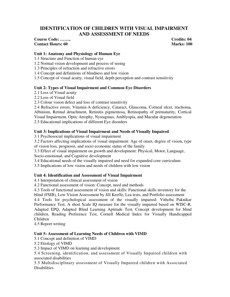# **IDENTIFICATION OF CHILDREN WITH VISUAL IMPAIRMENT AND ASSESSMENT OF NEEDS**

# **Course Code: …….. Credits: 04 Contact Hours: 60 Marks: 100**

## **Unit 1: Anatomy and Physiology of Human Eye**

1.1 Structure and Function of human eye

1.2 Normal vision development and process of seeing

1.3 Principles of refraction and refractive errors

1.4 Concept and definitions of blindness and low vision

1.5 Concept of visual acuity, visual field, depth perception and contrast sensitivity

# **Unit 2: Types of Visual Impairment and Common Eye Disorders**

2.1 Loss of Visual acuity

2.2 Loss of Visual field

2.3 Colour vision defect and loss of contrast sensitivity

2.4 Refractive errors, Vitamin-A deficiency, Cataract, Glaucoma, Corneal ulcer, trachoma, Albinism, Retinal detachment, Retinitis pigmentosa, Retinopathy of prematurity, Cortical Visual Impairment, Optic Atrophy, Nystagmus, Amblyopia, and Macular degeneration 2.5 Educational implications of different Eye disorders

## **Unit 3: Implications of Visual Impairment and Needs of Visually Impaired**

3.1 Psychosocial implications of visual impairment

3.2 Factors affecting implications of visual impairment: Age of onset, degree of vision, type of vision loss, prognosis, and socio economic status of the family

3.3 Effect of visual impairment on growth and development: Physical, Motor, Language, Socio-emotional, and Cognitive development

3.4 Educational needs of the visually impaired and need for expanded core curriculum

3.5 Implications of low vision and needs of children with low vision

# **Unit 4: Identification and Assessment of Visual Impairment**

4.1 Interpretation of clinical assessment of vision

4.2 Functional assessment of vision: Concept, need and methods

4.3 Tools of functional assessment of vision and skills: Functional skills inventory for the

blind (FSIB), Low Vision Assessment by Jill Keeffe, Lea tests, and Portfolio assessment 4.4 Tools for psychological assessment of the visually impaired: Vithoba Paknikar Performance Test, A short Scale IQ measure for the visually impaired based on WISC-R, Adapted EPQ, Adapted Blind Learning Aptitude Test, Concept development for blind children, Reading Preference Test, Cornell Medical Index for Visually Handicapped Children

4.5 Report writing

# **Unit 5: Assessment of Learning Needs of Children with VIMD**

5.1 Concept and definition of VIMD

5.2 Etiology of VIMD

5.3 Impact of VIMD on learning and development

5.4 Screening, identification, and assessment of Visually Impaired children with associated disabilities

5.5 Multidisciplinary assessment of Visually Impaired children with Associated **Disabilities**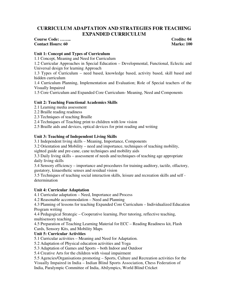# **CURRICULUM ADAPTATION AND STRATEGIES FOR TEACHING EXPANDED CURRICULUM**

# **Course Code: …….. Credits: 04 Contact Hours: 60 Marks: 100**

#### **Unit 1: Concept and Types of Curriculum**

1.1 Concept, Meaning and Need for Curriculum

1.2 Curricular Approaches in Special Education – Developmental, Functional, Eclectic and Universal design for learning Approach

1.3 Types of Curriculum – need based, knowledge based, activity based, skill based and hidden curriculum

1.4 Curriculum Planning, Implementation and Evaluation; Role of Special teachers of the Visually Impaired

1.5 Core Curriculum and Expanded Core Curriculum- Meaning, Need and Components

## **Unit 2: Teaching Functional Academics Skills**

- 2.1 Learning media assessment
- 2.2 Braille reading readiness
- 2.3 Techniques of teaching Braille
- 2.4 Techniques of Teaching print to children with low vision
- 2.5 Braille aids and devices, optical devices for print reading and writing

## **Unit 3: Teaching of Independent Living Skills**

- 3.1 Independent living skills Meaning, Importance, Components
- 3.2 Orientation and Mobility need and importance, techniques of teaching mobility,

sighted guide and pre-cane, cane techniques and mobility aids

3.3 Daily living skills – assessment of needs and techniques of teaching age appropriate daily living skills

3.4 Sensory efficiency – importance and procedures for training auditory, tactile, olfactory, gustatory, kinaesthetic senses and residual vision

3.5 Techniques of teaching social interaction skills, leisure and recreation skills and self determination

#### **Unit 4: Curricular Adaptation**

4.1 Curricular adaptation – Need, Importance and Process

4.2 Reasonable accommodation – Need and Planning

4.3 Planning of lessons for teaching Expanded Core Curriculum – Individualized Education Program writing

4.4 Pedagogical Strategic – Cooperative learning, Peer tutoring, reflective teaching, multisensory teaching

4.5 Preparation of Teaching Learning Material for ECC – Reading Readiness kit, Flash Cards, Sensory Kits, and Mobility Maps

# **Unit 5: Curricular Activities**

5.1 Curricular activities – Meaning and Need for Adaptation.

5.2 Adaptation of Physical education activities and Yoga

5.3 Adaptation of Games and Sports – both Indoor and Outdoor

5.4 Creative Arts for the children with visual impairment

5.5 Agencies/Organisations promoting – Sports, Culture and Recreation activities for the Visually Impaired in India – Indian Blind Sports Association, Chess Federation of

India, Paralympic Committee of India, Abilympics, World Blind Cricket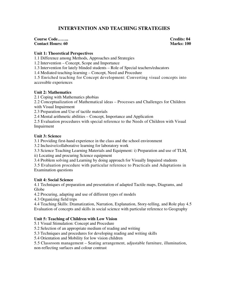# **INTERVENTION AND TEACHING STRATEGIES**

#### **Course Code……..**<br> **Contact Hours: 60**<br> **Contact Hours: 60**<br> **Contact Hours: 60 Contact Hours: 60**

## **Unit 1: Theoretical Perspectives**

1.1 Difference among Methods, Approaches and Strategies

1.2 Intervention – Concept, Scope and Importance

1.3 Intervention for lately blinded students – Role of Special teachers/educators

1.4 Mediated teaching-learning – Concept, Need and Procedure

1.5 Enriched teaching for Concept development: Converting visual concepts into accessible experiences

## **Unit 2: Mathematics**

2.1 Coping with Mathematics phobias

2.2 Conceptualization of Mathematical ideas – Processes and Challenges for Children with Visual Impairment

2.3 Preparation and Use of tactile materials

2.4 Mental arithmetic abilities – Concept, Importance and Application

2.5 Evaluation procedures with special reference to the Needs of Children with Visual Impairment

## **Unit 3: Science**

3.1 Providing first-hand experience in the class and the school environment

3.2 Inclusive/collaborative learning for laboratory work

3.3 Science Teaching Learning Materials and Equipment: i) Preparation and use of TLM,

ii) Locating and procuring Science equipment

3.4 Problem solving and Learning by doing approach for Visually Impaired students

3.5 Evaluation procedure with particular reference to Practicals and Adaptations in Examination questions

# **Unit 4: Social Science**

4.1 Techniques of preparation and presentation of adapted Tactile maps, Diagrams, and Globe

4.2 Procuring, adapting and use of different types of models

4.3 Organizing field trips

4.4 Teaching Skills: Dramatization, Narration, Explanation, Story-telling, and Role play 4.5 Evaluation of concepts and skills in social science with particular reference to Geography

# **Unit 5: Teaching of Children with Low Vision**

5.1 Visual Stimulation: Concept and Procedure

5.2 Selection of an appropriate medium of reading and writing

5.3 Techniques and procedures for developing reading and writing skills

5.4 Orientation and Mobility for low vision children

5.5 Classroom management – Seating arrangement, adjustable furniture, illumination, non-reflecting surfaces and colour contrast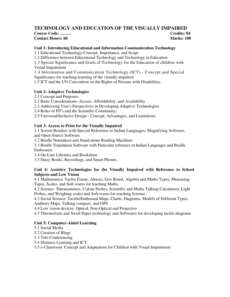# **TECHNOLOGY AND EDUCATION OF THE VISUALLY IMPAIRED**

**Course Code: …….. Credits: 04 Contact Hours: 60 Marks: 100** 

# **Unit 1: Introducing Educational and Information Communication Technology**

1.1 Educational Technology-Concept, Importance, and Scope

1.2 Difference between Educational Technology and Technology in Education

1.3 Special Significance and Goals of Technology for the Education of children with Visual Impairment

1.4 Information and Communication Technology (ICT) - Concept and Special Significance for teaching-learning of the visually impaired

1.5 ICT and the UN Convention on the Rights of Persons with Disabilities.

# **Unit 2: Adaptive Technologies**

- 2.1 Concept and Purposes
- 2.2 Basic Considerations--Access, Affordability, and Availability
- 2.3 Addressing User's Perspectives in Developing Adaptive Technologies

2.4 Roles of IIT's and the Scientific Community;

2.5 Universal/Inclusive Design - Concept, Advantages, and Limitations.

# **Unit 3: Access to Print for the Visually Impaired**

3.1 Screen Readers with Special Reference to Indian Languages; Magnifying Software, and Open Source Software.

3.2 Braille Notetakers and Stand-alone Reading Machines

3.3 Braille Translation Software with Particular reference to Indian Languages and Braille Embossers

3.4 On-Line Libraries and Bookshare

3.5 Daisy Books, Recordings, and Smart Phones.

# **Unit 4: Assistive Technologies for the Visually Impaired with Reference to School Subjects and Low Vision**

4.1 Mathematics: Taylor Frame, Abacus, Geo Board, Algebra and Maths Types, Measuring Tapes, Scales, and Soft-wares for teaching Maths.

4.2 Science: Thermometers, Colour Probes, Scientific and Maths Talking Calculators, Light Probes, and Weighing scales and Soft-wares for teaching Science.

4.3 Social Science: Tactile/Embossed Maps, Charts, Diagrams, Models of Different Types, Auditory Maps, Talking compass, and GPS

4.4 Low vision devices: Optical, Non-Optical and Projective

4.5 Thermoform and Swell Paper technology and Softwares for developing tactile diagrams

# **Unit 5: Computer-Aided Learning**

5.1 Social Media

5.2 Creation of Blogs

5.3 Tele-Conferencing

5.4 Distance Learning and ICT

5.5 e-Classroom: Concept and Adaptations for Children with Visual Impairment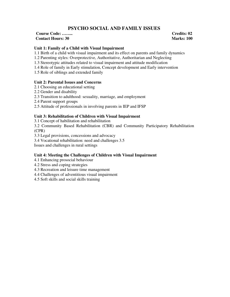# **PSYCHO SOCIAL AND FAMILY ISSUES**

**Course Code: …….. Credits: 02 Contact Hours: 30 Marks: 100** 

## **Unit 1: Family of a Child with Visual Impairment**

- 1.1 Birth of a child with visual impairment and its effect on parents and family dynamics
- 1.2 Parenting styles: Overprotective, Authoritative, Authoritarian and Neglecting
- 1.3 Stereotypic attitudes related to visual impairment and attitude modification
- 1.4 Role of family in Early stimulation, Concept development and Early intervention
- 1.5 Role of siblings and extended family

#### **Unit 2: Parental Issues and Concerns**

- 2.1 Choosing an educational setting
- 2.2 Gender and disability
- 2.3 Transition to adulthood: sexuality, marriage, and employment
- 2.4 Parent support groups
- 2.5 Attitude of professionals in involving parents in IEP and IFSP

#### **Unit 3: Rehabilitation of Children with Visual Impairment**

3.1 Concept of habilitation and rehabilitation

3.2 Community Based Rehabilitation (CBR) and Community Participatory Rehabilitation (CPR)

3.3 Legal provisions, concessions and advocacy

3.4 Vocational rehabilitation: need and challenges 3.5

Issues and challenges in rural settings

#### **Unit 4: Meeting the Challenges of Children with Visual Impairment**

- 4.1 Enhancing prosocial behaviour
- 4.2 Stress and coping strategies
- 4.3 Recreation and leisure time management
- 4.4 Challenges of adventitious visual impairment

4.5 Soft skills and social skills training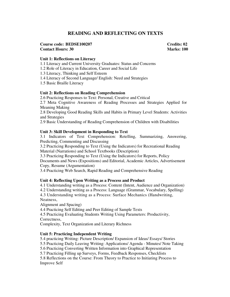# **READING AND REFLECTING ON TEXTS**

#### **Course code: BEDSE100207 Credits: 02 Contact Hours: 30 Marks: 100**

## **Unit 1: Reflections on Literacy**

1.1 Literacy and Current University Graduates: Status and Concerns

1.2 Role of Literacy in Education, Career and Social Life

1.3 Literacy, Thinking and Self Esteem

1.4 Literacy of Second Language/ English: Need and Strategies

1.5 Basic Braille Literacy

## **Unit 2: Reflections on Reading Comprehension**

2.6 Practicing Responses to Text: Personal, Creative and Critical

2.7 Meta Cognitive Awareness of Reading Processes and Strategies Applied for Meaning Making

2.8 Developing Good Reading Skills and Habits in Primary Level Students: Activities and Strategies

2.9 Basic Understanding of Reading Comprehension of Children with Disabilities

# **Unit 3: Skill Development in Responding to Text**

3.1 Indicators of Text Comprehension: Retelling, Summarizing, Answering, Predicting, Commenting and Discussing

3.2 Practicing Responding to Text (Using the Indicators) for Recreational Reading Material (Narrations) and School Textbooks (Description)

3.3 Practicing Responding to Text (Using the Indicators) for Reports, Policy Documents and News (Expositions) and Editorial, Academic Articles, Advertisement Copy, Resume (Argumentation)

3.4 Practicing Web Search, Rapid Reading and Comprehensive Reading

# **Unit 4: Reflecting Upon Writing as a Process and Product**

4.1 Understanding writing as a Process: Content (Intent, Audience and Organization) 4.2 Understanding writing as a Process: Language (Grammar, Vocabulary, Spelling) 4.3 Understanding writing as a Process: Surface Mechanics (Handwriting, Neatness,

Alignment and Spacing)

4.4 Practicing Self Editing and Peer Editing of Sample Texts

4.5 Practicing Evaluating Students Writing Using Parameters: Productivity, Correctness,

Complexity, Text Organization and Literary Richness

#### **Unit 5: Practicing Independent Writing**

5.4 practicing Writing: Picture Description/ Expansion of Ideas/ Essays/ Stories 5.5 Practicing Daily Leaving Writing: Applications/ Agenda - Minutes/ Note Taking 5.6 Practicing Converting Written Information into Graphical Representation 5.7 Practicing Filling up Surveys, Forms, Feedback Responses, Checklists 5.8 Reflections on the Course: From Theory to Practice to Initiating Process to Improve Self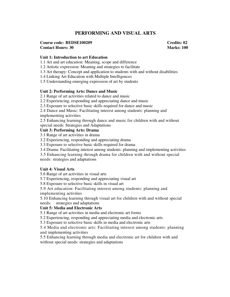# **PERFORMING AND VISUAL ARTS**

# **Course code: BEDSE100209 Credits: 02**

**Contact Hours: 30 Marks: 100** 

#### **Unit 1: Introduction to art Education**

1.1 Art and art education: Meaning, scope and difference

1.2 Artistic expression: Meaning and strategies to facilitate

1.3 Art therapy: Concept and application to students with and without disabilities

1.4 Linking Art Education with Multiple Intelligences

1.5 Understanding emerging expression of art by students

## **Unit 2: Performing Arts: Dance and Music**

2.1 Range of art activities related to dance and music

2.2 Experiencing, responding and appreciating dance and music

2.3 Exposure to selective basic skills required for dance and music

2.4 Dance and Music: Facilitating interest among students: planning and

implementing activities

2.5 Enhancing learning through dance and music for children with and without special needs: Strategies and Adaptations

# **Unit 3: Performing Arts: Drama**

3.1 Range of art activities in drama

3.2 Experiencing, responding and appreciating drama

3.3 Exposure to selective basic skills required for drama

3.4 Drama: Facilitating interest among students: planning and implementing activities

3.5 Enhancing learning through drama for children with and without special needs: strategies and adaptations

#### **Unit 4: Visual Arts**

5.6 Range of art activities in visual arts

5.7 Experiencing, responding and appreciating visual art

5.8 Exposure to selective basic skills in visual art

5.9 Art education: Facilitating interest among students: planning and implementing activities

5.10 Enhancing learning through visual art for children with and without special needs: strategies and adaptations

# **Unit 5: Media and Electronic Arts**

5.1 Range of art activities in media and electronic art forms

5.2 Experiencing, responding and appreciating media and electronic arts

5.3 Exposure to selective basic skills in media and electronic arts

5.4 Media and electronic arts: Facilitating interest among students: planning and implementing activities

5.5 Enhancing learning through media and electronic art for children with and without special needs: strategies and adaptations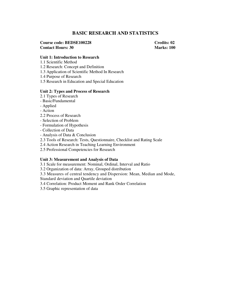# **BASIC RESEARCH AND STATISTICS**

**Course code: BEDSE100228 Credits: 02 Contact Hours: 30 Marks: 100** 

#### **Unit 1: Introduction to Research**

- 1.1 Scientific Method
- 1.2 Research: Concept and Definition
- 1.3 Application of Scientific Method In Research
- 1.4 Purpose of Research
- 1.5 Research in Education and Special Education

#### **Unit 2: Types and Process of Research**

- 2.1 Types of Research
- Basic/Fundamental
- Applied
- Action
- 2.2 Process of Research
- Selection of Problem
- Formulation of Hypothesis
- Collection of Data
- Analysis of Data & Conclusion
- 2.3 Tools of Research: Tests, Questionnaire, Checklist and Rating Scale
- 2.4 Action Research in Teaching Learning Environment
- 2.5 Professional Competencies for Research

#### **Unit 3: Measurement and Analysis of Data**

- 3.1 Scale for measurement: Nominal, Ordinal, Interval and Ratio
- 3.2 Organization of data: Array, Grouped distribution
- 3.3 Measures of central tendency and Dispersion: Mean, Median and Mode,
- Standard deviation and Quartile deviation
- 3.4 Correlation: Product Moment and Rank Order Correlation
- 3.5 Graphic representation of data